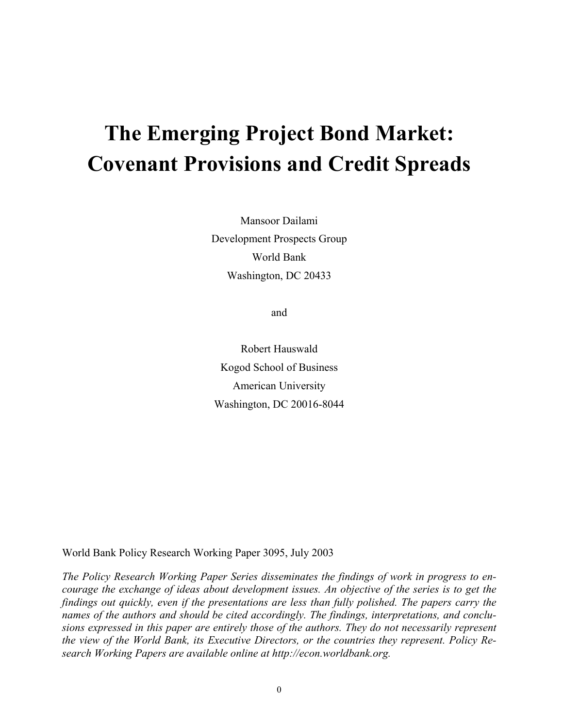# **The Emerging Project Bond Market: Covenant Provisions and Credit Spreads**

Mansoor Dailami Development Prospects Group World Bank Washington, DC 20433

and

Robert Hauswald Kogod School of Business American University Washington, DC 20016-8044

World Bank Policy Research Working Paper 3095, July 2003

*The Policy Research Working Paper Series disseminates the findings of work in progress to encourage the exchange of ideas about development issues. An objective of the series is to get the findings out quickly, even if the presentations are less than fully polished. The papers carry the names of the authors and should be cited accordingly. The findings, interpretations, and conclusions expressed in this paper are entirely those of the authors. They do not necessarily represent the view of the World Bank, its Executive Directors, or the countries they represent. Policy Research Working Papers are available online at http://econ.worldbank.org.*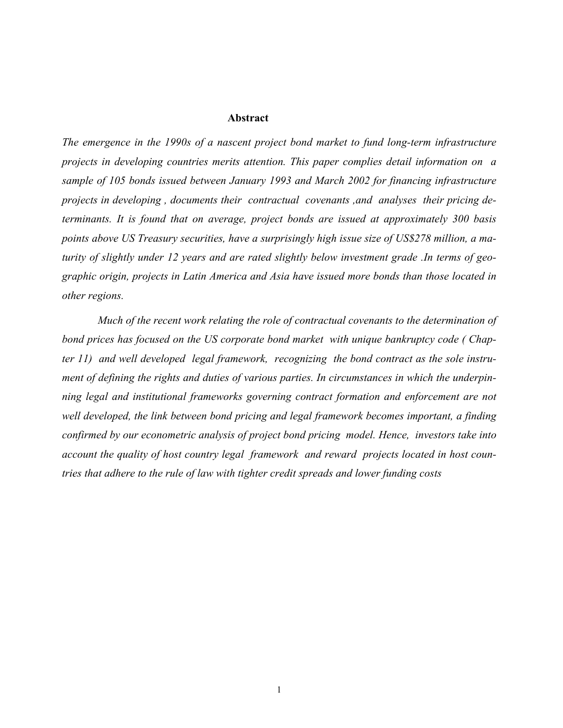#### **Abstract**

*The emergence in the 1990s of a nascent project bond market to fund long-term infrastructure projects in developing countries merits attention. This paper complies detail information on a sample of 105 bonds issued between January 1993 and March 2002 for financing infrastructure projects in developing , documents their contractual covenants ,and analyses their pricing determinants. It is found that on average, project bonds are issued at approximately 300 basis points above US Treasury securities, have a surprisingly high issue size of US\$278 million, a maturity of slightly under 12 years and are rated slightly below investment grade .In terms of geographic origin, projects in Latin America and Asia have issued more bonds than those located in other regions.* 

 *Much of the recent work relating the role of contractual covenants to the determination of bond prices has focused on the US corporate bond market with unique bankruptcy code ( Chapter 11) and well developed legal framework, recognizing the bond contract as the sole instrument of defining the rights and duties of various parties. In circumstances in which the underpinning legal and institutional frameworks governing contract formation and enforcement are not well developed, the link between bond pricing and legal framework becomes important, a finding confirmed by our econometric analysis of project bond pricing model. Hence, investors take into account the quality of host country legal framework and reward projects located in host countries that adhere to the rule of law with tighter credit spreads and lower funding costs*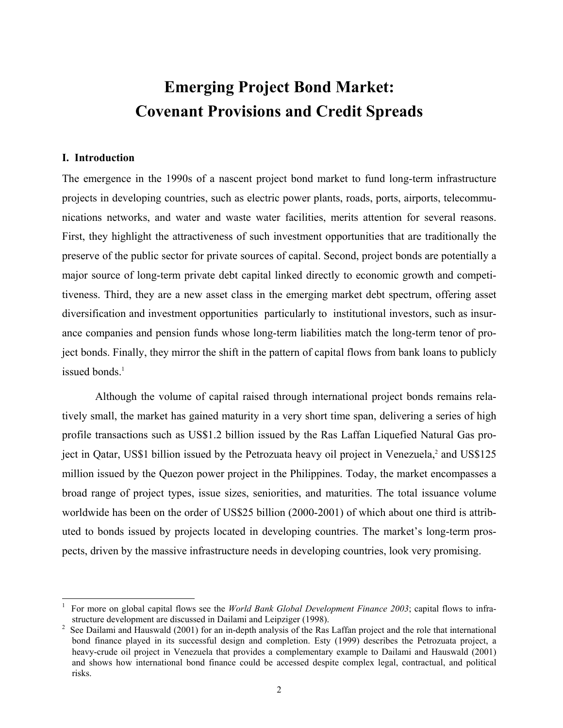## **Emerging Project Bond Market: Covenant Provisions and Credit Spreads**

## **I. Introduction**

 $\overline{a}$ 

The emergence in the 1990s of a nascent project bond market to fund long-term infrastructure projects in developing countries, such as electric power plants, roads, ports, airports, telecommunications networks, and water and waste water facilities, merits attention for several reasons. First, they highlight the attractiveness of such investment opportunities that are traditionally the preserve of the public sector for private sources of capital. Second, project bonds are potentially a major source of long-term private debt capital linked directly to economic growth and competitiveness. Third, they are a new asset class in the emerging market debt spectrum, offering asset diversification and investment opportunities particularly to institutional investors, such as insurance companies and pension funds whose long-term liabilities match the long-term tenor of project bonds. Finally, they mirror the shift in the pattern of capital flows from bank loans to publicly issued bonds $<sup>1</sup>$ </sup>

Although the volume of capital raised through international project bonds remains relatively small, the market has gained maturity in a very short time span, delivering a series of high profile transactions such as US\$1.2 billion issued by the Ras Laffan Liquefied Natural Gas project in Qatar, US\$1 billion issued by the Petrozuata heavy oil project in Venezuela,<sup>2</sup> and US\$125 million issued by the Quezon power project in the Philippines. Today, the market encompasses a broad range of project types, issue sizes, seniorities, and maturities. The total issuance volume worldwide has been on the order of US\$25 billion (2000-2001) of which about one third is attributed to bonds issued by projects located in developing countries. The market's long-term prospects, driven by the massive infrastructure needs in developing countries, look very promising.

<sup>1</sup> For more on global capital flows see the *World Bank Global Development Finance 2003*; capital flows to infrastructure development are discussed in Dailami and Leipziger (1998).<br><sup>2</sup> See Dailami and Hauswald (2001) for an in-denth analysis of the Ras

See Dailami and Hauswald (2001) for an in-depth analysis of the Ras Laffan project and the role that international bond finance played in its successful design and completion. Esty (1999) describes the Petrozuata project, a heavy-crude oil project in Venezuela that provides a complementary example to Dailami and Hauswald (2001) and shows how international bond finance could be accessed despite complex legal, contractual, and political risks.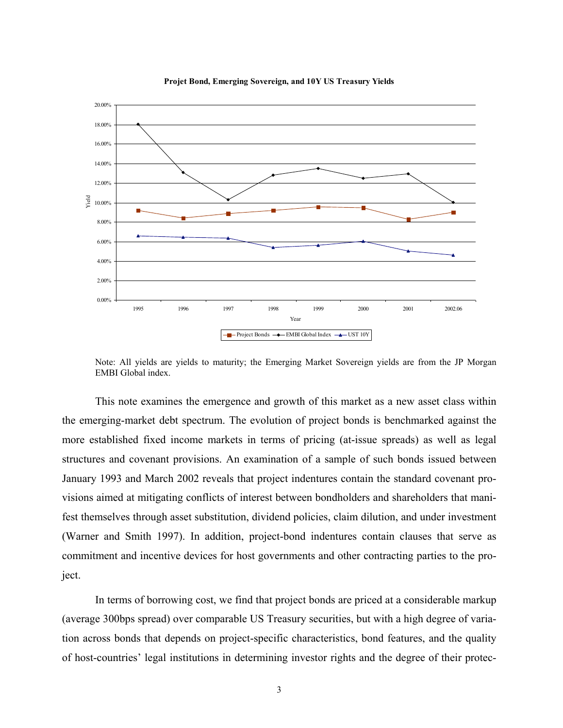

**Projet Bond, Emerging Sovereign, and 10Y US Treasury Yields**

Note: All yields are yields to maturity; the Emerging Market Sovereign yields are from the JP Morgan EMBI Global index.

This note examines the emergence and growth of this market as a new asset class within the emerging-market debt spectrum. The evolution of project bonds is benchmarked against the more established fixed income markets in terms of pricing (at-issue spreads) as well as legal structures and covenant provisions. An examination of a sample of such bonds issued between January 1993 and March 2002 reveals that project indentures contain the standard covenant provisions aimed at mitigating conflicts of interest between bondholders and shareholders that manifest themselves through asset substitution, dividend policies, claim dilution, and under investment (Warner and Smith 1997). In addition, project-bond indentures contain clauses that serve as commitment and incentive devices for host governments and other contracting parties to the project.

In terms of borrowing cost, we find that project bonds are priced at a considerable markup (average 300bps spread) over comparable US Treasury securities, but with a high degree of variation across bonds that depends on project-specific characteristics, bond features, and the quality of host-countries' legal institutions in determining investor rights and the degree of their protec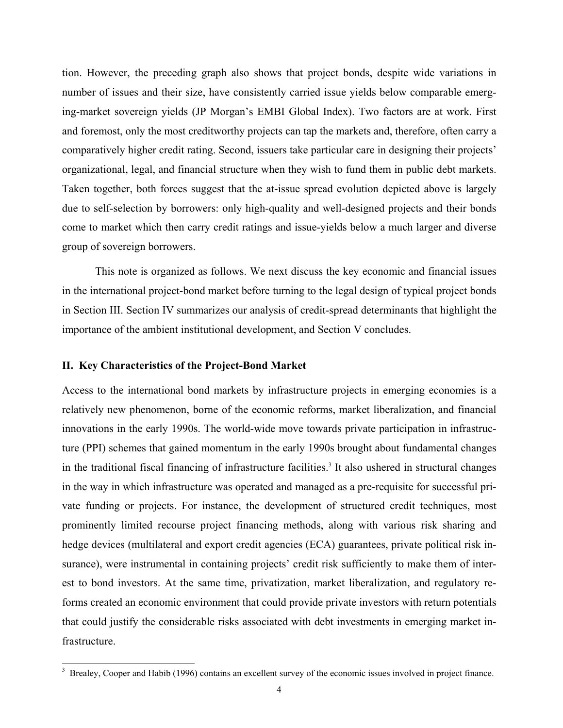tion. However, the preceding graph also shows that project bonds, despite wide variations in number of issues and their size, have consistently carried issue yields below comparable emerging-market sovereign yields (JP Morgan's EMBI Global Index). Two factors are at work. First and foremost, only the most creditworthy projects can tap the markets and, therefore, often carry a comparatively higher credit rating. Second, issuers take particular care in designing their projects' organizational, legal, and financial structure when they wish to fund them in public debt markets. Taken together, both forces suggest that the at-issue spread evolution depicted above is largely due to self-selection by borrowers: only high-quality and well-designed projects and their bonds come to market which then carry credit ratings and issue-yields below a much larger and diverse group of sovereign borrowers.

This note is organized as follows. We next discuss the key economic and financial issues in the international project-bond market before turning to the legal design of typical project bonds in Section III. Section IV summarizes our analysis of credit-spread determinants that highlight the importance of the ambient institutional development, and Section V concludes.

## **II. Key Characteristics of the Project-Bond Market**

 $\overline{a}$ 

Access to the international bond markets by infrastructure projects in emerging economies is a relatively new phenomenon, borne of the economic reforms, market liberalization, and financial innovations in the early 1990s. The world-wide move towards private participation in infrastructure (PPI) schemes that gained momentum in the early 1990s brought about fundamental changes in the traditional fiscal financing of infrastructure facilities.<sup>3</sup> It also ushered in structural changes in the way in which infrastructure was operated and managed as a pre-requisite for successful private funding or projects. For instance, the development of structured credit techniques, most prominently limited recourse project financing methods, along with various risk sharing and hedge devices (multilateral and export credit agencies (ECA) guarantees, private political risk insurance), were instrumental in containing projects' credit risk sufficiently to make them of interest to bond investors. At the same time, privatization, market liberalization, and regulatory reforms created an economic environment that could provide private investors with return potentials that could justify the considerable risks associated with debt investments in emerging market infrastructure.

<sup>&</sup>lt;sup>3</sup> Brealey, Cooper and Habib (1996) contains an excellent survey of the economic issues involved in project finance.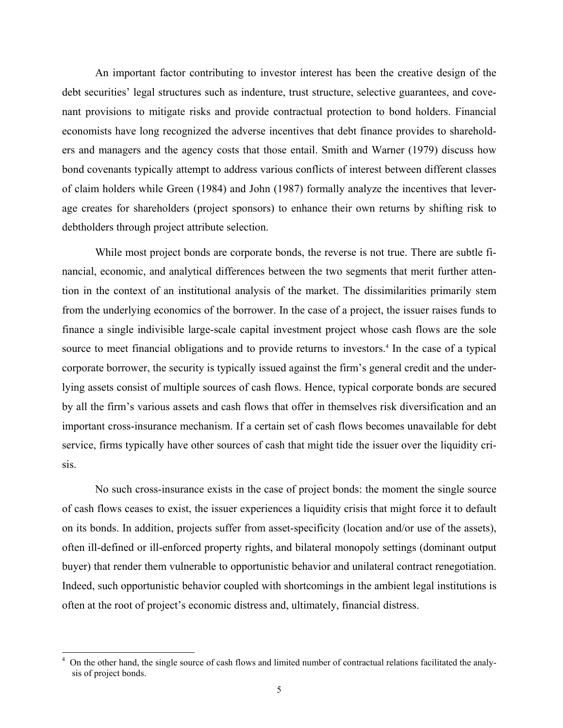An important factor contributing to investor interest has been the creative design of the debt securities' legal structures such as indenture, trust structure, selective guarantees, and covenant provisions to mitigate risks and provide contractual protection to bond holders. Financial economists have long recognized the adverse incentives that debt finance provides to shareholders and managers and the agency costs that those entail. Smith and Warner (1979) discuss how bond covenants typically attempt to address various conflicts of interest between different classes of claim holders while Green (1984) and John (1987) formally analyze the incentives that leverage creates for shareholders (project sponsors) to enhance their own returns by shifting risk to debtholders through project attribute selection.

While most project bonds are corporate bonds, the reverse is not true. There are subtle financial, economic, and analytical differences between the two segments that merit further attention in the context of an institutional analysis of the market. The dissimilarities primarily stem from the underlying economics of the borrower. In the case of a project, the issuer raises funds to finance a single indivisible large-scale capital investment project whose cash flows are the sole source to meet financial obligations and to provide returns to investors.<sup>4</sup> In the case of a typical corporate borrower, the security is typically issued against the firm's general credit and the underlying assets consist of multiple sources of cash flows. Hence, typical corporate bonds are secured by all the firm's various assets and cash flows that offer in themselves risk diversification and an important cross-insurance mechanism. If a certain set of cash flows becomes unavailable for debt service, firms typically have other sources of cash that might tide the issuer over the liquidity crisis.

No such cross-insurance exists in the case of project bonds: the moment the single source of cash flows ceases to exist, the issuer experiences a liquidity crisis that might force it to default on its bonds. In addition, projects suffer from asset-specificity (location and/or use of the assets), often ill-defined or ill-enforced property rights, and bilateral monopoly settings (dominant output buyer) that render them vulnerable to opportunistic behavior and unilateral contract renegotiation. Indeed, such opportunistic behavior coupled with shortcomings in the ambient legal institutions is often at the root of project's economic distress and, ultimately, financial distress.

 $\overline{a}$ 

<sup>4</sup> On the other hand, the single source of cash flows and limited number of contractual relations facilitated the analysis of project bonds.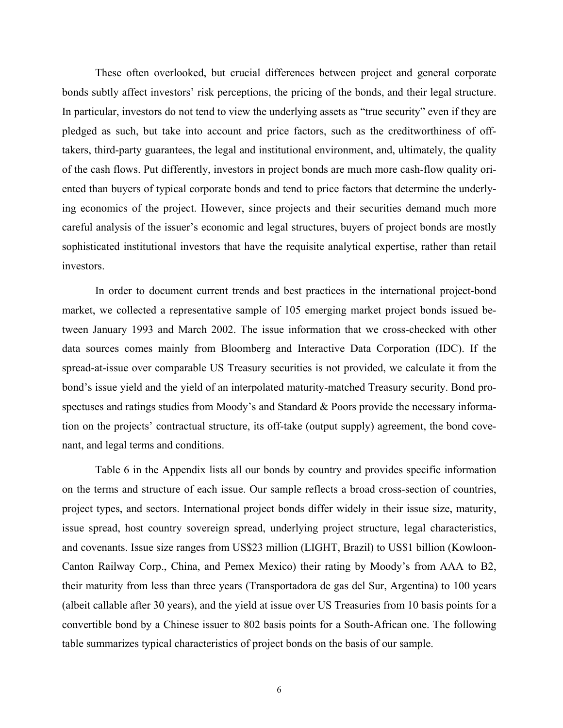These often overlooked, but crucial differences between project and general corporate bonds subtly affect investors' risk perceptions, the pricing of the bonds, and their legal structure. In particular, investors do not tend to view the underlying assets as "true security" even if they are pledged as such, but take into account and price factors, such as the creditworthiness of offtakers, third-party guarantees, the legal and institutional environment, and, ultimately, the quality of the cash flows. Put differently, investors in project bonds are much more cash-flow quality oriented than buyers of typical corporate bonds and tend to price factors that determine the underlying economics of the project. However, since projects and their securities demand much more careful analysis of the issuer's economic and legal structures, buyers of project bonds are mostly sophisticated institutional investors that have the requisite analytical expertise, rather than retail investors.

In order to document current trends and best practices in the international project-bond market, we collected a representative sample of 105 emerging market project bonds issued between January 1993 and March 2002. The issue information that we cross-checked with other data sources comes mainly from Bloomberg and Interactive Data Corporation (IDC). If the spread-at-issue over comparable US Treasury securities is not provided, we calculate it from the bond's issue yield and the yield of an interpolated maturity-matched Treasury security. Bond prospectuses and ratings studies from Moody's and Standard & Poors provide the necessary information on the projects' contractual structure, its off-take (output supply) agreement, the bond covenant, and legal terms and conditions.

Table 6 in the Appendix lists all our bonds by country and provides specific information on the terms and structure of each issue. Our sample reflects a broad cross-section of countries, project types, and sectors. International project bonds differ widely in their issue size, maturity, issue spread, host country sovereign spread, underlying project structure, legal characteristics, and covenants. Issue size ranges from US\$23 million (LIGHT, Brazil) to US\$1 billion (Kowloon-Canton Railway Corp., China, and Pemex Mexico) their rating by Moody's from AAA to B2, their maturity from less than three years (Transportadora de gas del Sur, Argentina) to 100 years (albeit callable after 30 years), and the yield at issue over US Treasuries from 10 basis points for a convertible bond by a Chinese issuer to 802 basis points for a South-African one. The following table summarizes typical characteristics of project bonds on the basis of our sample.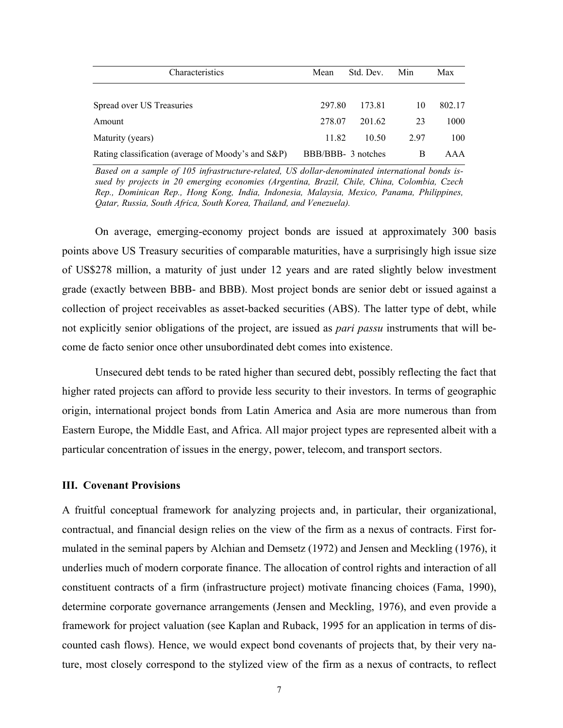| Characteristics                                    | Mean               | Std. Dev. | Min | Max    |
|----------------------------------------------------|--------------------|-----------|-----|--------|
| Spread over US Treasuries                          | 297.80             | 173.81    | 10  | 802.17 |
| Amount                                             | 278.07             | 201.62    | 23  | 1000   |
| Maturity (years)                                   | 11.82              | 10.50     | 297 | 100    |
| Rating classification (average of Moody's and S&P) | BBB/BBB- 3 notches |           | B   | AAA    |

*Based on a sample of 105 infrastructure-related, US dollar-denominated international bonds issued by projects in 20 emerging economies (Argentina, Brazil, Chile, China, Colombia, Czech Rep., Dominican Rep., Hong Kong, India, Indonesia, Malaysia, Mexico, Panama, Philippines, Qatar, Russia, South Africa, South Korea, Thailand, and Venezuela).* 

On average, emerging-economy project bonds are issued at approximately 300 basis points above US Treasury securities of comparable maturities, have a surprisingly high issue size of US\$278 million, a maturity of just under 12 years and are rated slightly below investment grade (exactly between BBB- and BBB). Most project bonds are senior debt or issued against a collection of project receivables as asset-backed securities (ABS). The latter type of debt, while not explicitly senior obligations of the project, are issued as *pari passu* instruments that will become de facto senior once other unsubordinated debt comes into existence.

Unsecured debt tends to be rated higher than secured debt, possibly reflecting the fact that higher rated projects can afford to provide less security to their investors. In terms of geographic origin, international project bonds from Latin America and Asia are more numerous than from Eastern Europe, the Middle East, and Africa. All major project types are represented albeit with a particular concentration of issues in the energy, power, telecom, and transport sectors.

## **III. Covenant Provisions**

A fruitful conceptual framework for analyzing projects and, in particular, their organizational, contractual, and financial design relies on the view of the firm as a nexus of contracts. First formulated in the seminal papers by Alchian and Demsetz (1972) and Jensen and Meckling (1976), it underlies much of modern corporate finance. The allocation of control rights and interaction of all constituent contracts of a firm (infrastructure project) motivate financing choices (Fama, 1990), determine corporate governance arrangements (Jensen and Meckling, 1976), and even provide a framework for project valuation (see Kaplan and Ruback, 1995 for an application in terms of discounted cash flows). Hence, we would expect bond covenants of projects that, by their very nature, most closely correspond to the stylized view of the firm as a nexus of contracts, to reflect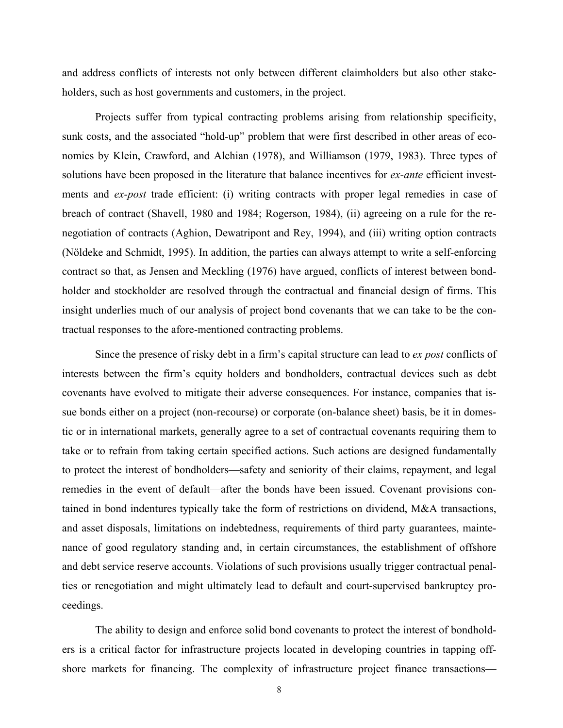and address conflicts of interests not only between different claimholders but also other stakeholders, such as host governments and customers, in the project.

Projects suffer from typical contracting problems arising from relationship specificity, sunk costs, and the associated "hold-up" problem that were first described in other areas of economics by Klein, Crawford, and Alchian (1978), and Williamson (1979, 1983). Three types of solutions have been proposed in the literature that balance incentives for *ex-ante* efficient investments and *ex-post* trade efficient: (i) writing contracts with proper legal remedies in case of breach of contract (Shavell, 1980 and 1984; Rogerson, 1984), (ii) agreeing on a rule for the renegotiation of contracts (Aghion, Dewatripont and Rey, 1994), and (iii) writing option contracts (Nöldeke and Schmidt, 1995). In addition, the parties can always attempt to write a self-enforcing contract so that, as Jensen and Meckling (1976) have argued, conflicts of interest between bondholder and stockholder are resolved through the contractual and financial design of firms. This insight underlies much of our analysis of project bond covenants that we can take to be the contractual responses to the afore-mentioned contracting problems.

Since the presence of risky debt in a firm's capital structure can lead to *ex post* conflicts of interests between the firm's equity holders and bondholders, contractual devices such as debt covenants have evolved to mitigate their adverse consequences. For instance, companies that issue bonds either on a project (non-recourse) or corporate (on-balance sheet) basis, be it in domestic or in international markets, generally agree to a set of contractual covenants requiring them to take or to refrain from taking certain specified actions. Such actions are designed fundamentally to protect the interest of bondholders—safety and seniority of their claims, repayment, and legal remedies in the event of default—after the bonds have been issued. Covenant provisions contained in bond indentures typically take the form of restrictions on dividend, M&A transactions, and asset disposals, limitations on indebtedness, requirements of third party guarantees, maintenance of good regulatory standing and, in certain circumstances, the establishment of offshore and debt service reserve accounts. Violations of such provisions usually trigger contractual penalties or renegotiation and might ultimately lead to default and court-supervised bankruptcy proceedings.

The ability to design and enforce solid bond covenants to protect the interest of bondholders is a critical factor for infrastructure projects located in developing countries in tapping offshore markets for financing. The complexity of infrastructure project finance transactions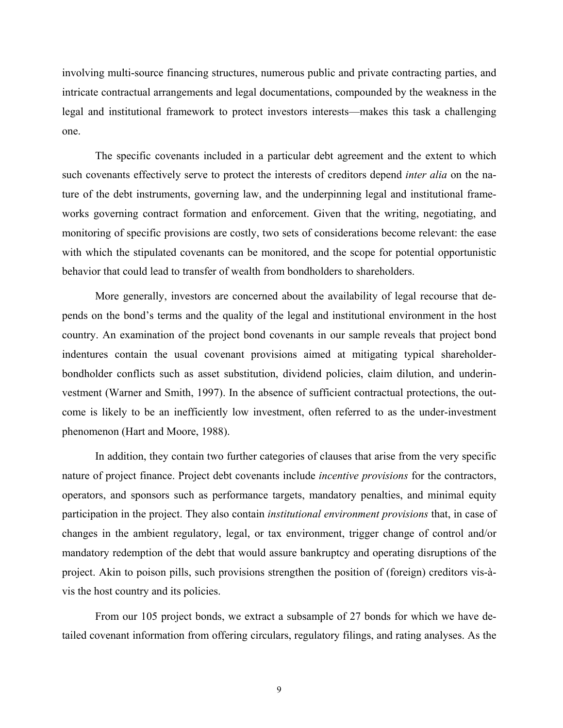involving multi-source financing structures, numerous public and private contracting parties, and intricate contractual arrangements and legal documentations, compounded by the weakness in the legal and institutional framework to protect investors interests—makes this task a challenging one.

The specific covenants included in a particular debt agreement and the extent to which such covenants effectively serve to protect the interests of creditors depend *inter alia* on the nature of the debt instruments, governing law, and the underpinning legal and institutional frameworks governing contract formation and enforcement. Given that the writing, negotiating, and monitoring of specific provisions are costly, two sets of considerations become relevant: the ease with which the stipulated covenants can be monitored, and the scope for potential opportunistic behavior that could lead to transfer of wealth from bondholders to shareholders.

More generally, investors are concerned about the availability of legal recourse that depends on the bond's terms and the quality of the legal and institutional environment in the host country. An examination of the project bond covenants in our sample reveals that project bond indentures contain the usual covenant provisions aimed at mitigating typical shareholderbondholder conflicts such as asset substitution, dividend policies, claim dilution, and underinvestment (Warner and Smith, 1997). In the absence of sufficient contractual protections, the outcome is likely to be an inefficiently low investment, often referred to as the under-investment phenomenon (Hart and Moore, 1988).

In addition, they contain two further categories of clauses that arise from the very specific nature of project finance. Project debt covenants include *incentive provisions* for the contractors, operators, and sponsors such as performance targets, mandatory penalties, and minimal equity participation in the project. They also contain *institutional environment provisions* that, in case of changes in the ambient regulatory, legal, or tax environment, trigger change of control and/or mandatory redemption of the debt that would assure bankruptcy and operating disruptions of the project. Akin to poison pills, such provisions strengthen the position of (foreign) creditors vis-àvis the host country and its policies.

From our 105 project bonds, we extract a subsample of 27 bonds for which we have detailed covenant information from offering circulars, regulatory filings, and rating analyses. As the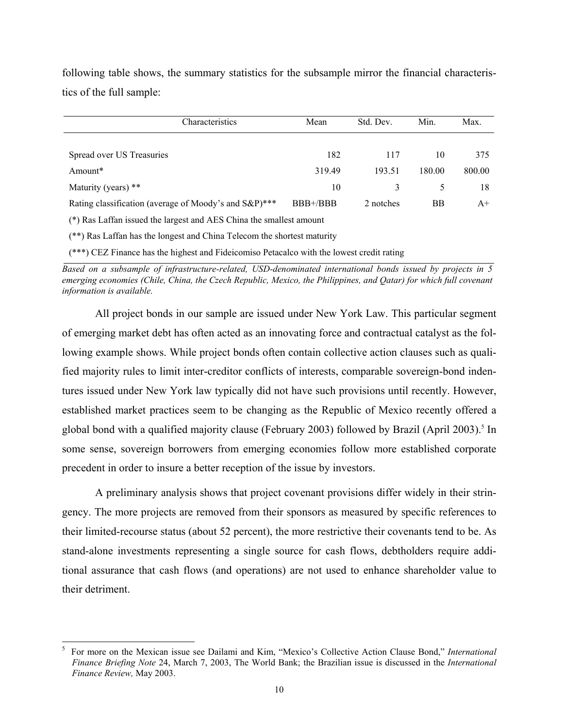following table shows, the summary statistics for the subsample mirror the financial characteristics of the full sample:

| Characteristics                                                         | Mean     | Std. Dev. | Min.   | Max.   |  |  |  |  |
|-------------------------------------------------------------------------|----------|-----------|--------|--------|--|--|--|--|
|                                                                         |          |           |        |        |  |  |  |  |
| Spread over US Treasuries                                               | 182      | 117       | 10     | 375    |  |  |  |  |
| Amount*                                                                 | 319.49   | 193.51    | 180.00 | 800.00 |  |  |  |  |
| Maturity (years) **                                                     | 10       | 3         | 5      | 18     |  |  |  |  |
| Rating classification (average of Moody's and S&P)***                   | BBB+/BBB | 2 notches | ΒB     | $A+$   |  |  |  |  |
| (*) Ras Laffan issued the largest and AES China the smallest amount     |          |           |        |        |  |  |  |  |
| (**) Ras Laffan has the longest and China Telecom the shortest maturity |          |           |        |        |  |  |  |  |

(\*\*\*) CEZ Finance has the highest and Fideicomiso Petacalco with the lowest credit rating

*Based on a subsample of infrastructure-related, USD-denominated international bonds issued by projects in 5*  emerging economies (Chile, China, the Czech Republic, Mexico, the Philippines, and Oatar) for which full covenant *information is available.* 

All project bonds in our sample are issued under New York Law. This particular segment of emerging market debt has often acted as an innovating force and contractual catalyst as the following example shows. While project bonds often contain collective action clauses such as qualified majority rules to limit inter-creditor conflicts of interests, comparable sovereign-bond indentures issued under New York law typically did not have such provisions until recently. However, established market practices seem to be changing as the Republic of Mexico recently offered a global bond with a qualified majority clause (February 2003) followed by Brazil (April 2003).<sup>5</sup> In some sense, sovereign borrowers from emerging economies follow more established corporate precedent in order to insure a better reception of the issue by investors.

A preliminary analysis shows that project covenant provisions differ widely in their stringency. The more projects are removed from their sponsors as measured by specific references to their limited-recourse status (about 52 percent), the more restrictive their covenants tend to be. As stand-alone investments representing a single source for cash flows, debtholders require additional assurance that cash flows (and operations) are not used to enhance shareholder value to their detriment.

 $\overline{a}$ 

<sup>5</sup> For more on the Mexican issue see Dailami and Kim, "Mexico's Collective Action Clause Bond," *International Finance Briefing Note* 24, March 7, 2003, The World Bank; the Brazilian issue is discussed in the *International Finance Review,* May 2003.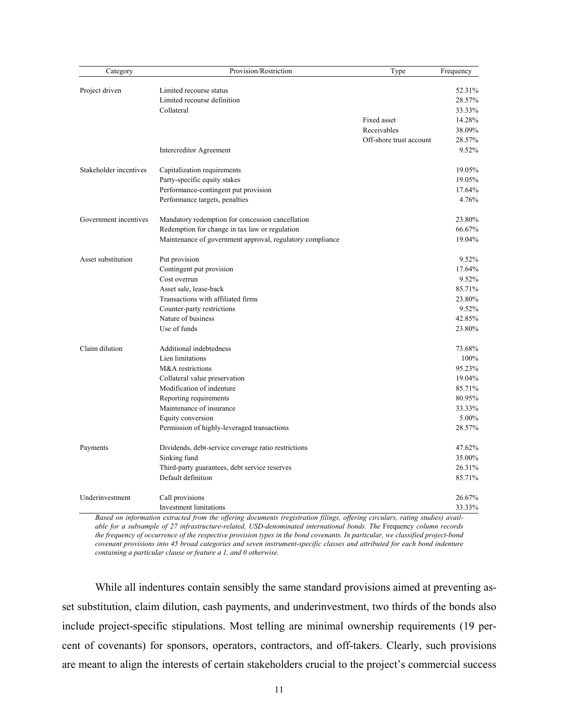| Category               | Provision/Restriction                                     | Type                    | Frequency |
|------------------------|-----------------------------------------------------------|-------------------------|-----------|
| Project driven         | Limited recourse status                                   |                         | 52.31%    |
|                        | Limited recourse definition                               |                         | 28.57%    |
|                        | Collateral                                                |                         | 33.33%    |
|                        |                                                           | Fixed asset             | 14.28%    |
|                        |                                                           | Receivables             | 38.09%    |
|                        |                                                           |                         |           |
|                        |                                                           | Off-shore trust account | 28.57%    |
|                        | Intercreditor Agreement                                   |                         | 9.52%     |
| Stakeholder incentives | Capitalization requirements                               |                         | 19.05%    |
|                        | Party-specific equity stakes                              |                         | 19.05%    |
|                        | Performance-contingent put provision                      |                         | 17.64%    |
|                        | Performance targets, penalties                            |                         | 4.76%     |
| Government incentives  | Mandatory redemption for concession cancellation          |                         | 23.80%    |
|                        | Redemption for change in tax law or regulation            |                         | 66.67%    |
|                        | Maintenance of government approval, regulatory compliance |                         | 19.04%    |
| Asset substitution     | Put provision                                             |                         | 9.52%     |
|                        | Contingent put provision                                  |                         | 17.64%    |
|                        | Cost overrun                                              |                         | 9.52%     |
|                        | Asset sale, lease-back                                    |                         | 85.71%    |
|                        | Transactions with affiliated firms                        |                         | 23.80%    |
|                        | Counter-party restrictions                                |                         | 9.52%     |
|                        | Nature of business                                        |                         | 42.85%    |
|                        | Use of funds                                              |                         | 23.80%    |
| Claim dilution         | Additional indebtedness                                   |                         | 73.68%    |
|                        | Lien limitations                                          |                         | 100%      |
|                        | M&A restrictions                                          |                         | 95.23%    |
|                        | Collateral value preservation                             |                         | 19.04%    |
|                        | Modification of indenture                                 |                         | 85.71%    |
|                        | Reporting requirements                                    |                         | 80.95%    |
|                        | Maintenance of insurance                                  |                         | 33.33%    |
|                        | Equity conversion                                         |                         | 5.00%     |
|                        | Permission of highly-leveraged transactions               |                         | 28.57%    |
| Payments               | Dividends, debt-service coverage ratio restrictions       |                         | 47.62%    |
|                        | Sinking fund                                              |                         | 35.00%    |
|                        | Third-party guarantees, debt service reserves             |                         | 26.31%    |
|                        | Default definition                                        |                         | 85.71%    |
| Underinvestment        | Call provisions                                           |                         | 26.67%    |
|                        | <b>Investment limitations</b>                             |                         | 33.33%    |

*Based on information extracted from the offering documents (registration filings, offering circulars, rating studies) available for a subsample of 27 infrastructure-related, USD-denominated international bonds. The* Frequency *column records the frequency of occurrence of the respective provision types in the bond covenants. In particular, we classified project-bond covenant provisions into 45 broad categories and seven instrument-specific classes and attributed for each bond indenture containing a particular clause or feature a 1, and 0 otherwise.* 

While all indentures contain sensibly the same standard provisions aimed at preventing asset substitution, claim dilution, cash payments, and underinvestment, two thirds of the bonds also include project-specific stipulations. Most telling are minimal ownership requirements (19 percent of covenants) for sponsors, operators, contractors, and off-takers. Clearly, such provisions are meant to align the interests of certain stakeholders crucial to the project's commercial success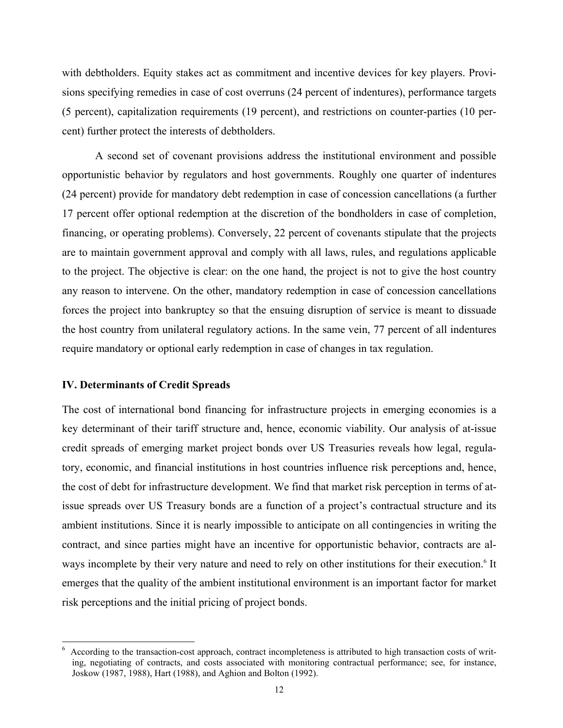with debtholders. Equity stakes act as commitment and incentive devices for key players. Provisions specifying remedies in case of cost overruns (24 percent of indentures), performance targets (5 percent), capitalization requirements (19 percent), and restrictions on counter-parties (10 percent) further protect the interests of debtholders.

A second set of covenant provisions address the institutional environment and possible opportunistic behavior by regulators and host governments. Roughly one quarter of indentures (24 percent) provide for mandatory debt redemption in case of concession cancellations (a further 17 percent offer optional redemption at the discretion of the bondholders in case of completion, financing, or operating problems). Conversely, 22 percent of covenants stipulate that the projects are to maintain government approval and comply with all laws, rules, and regulations applicable to the project. The objective is clear: on the one hand, the project is not to give the host country any reason to intervene. On the other, mandatory redemption in case of concession cancellations forces the project into bankruptcy so that the ensuing disruption of service is meant to dissuade the host country from unilateral regulatory actions. In the same vein, 77 percent of all indentures require mandatory or optional early redemption in case of changes in tax regulation.

## **IV. Determinants of Credit Spreads**

 $\overline{a}$ 

The cost of international bond financing for infrastructure projects in emerging economies is a key determinant of their tariff structure and, hence, economic viability. Our analysis of at-issue credit spreads of emerging market project bonds over US Treasuries reveals how legal, regulatory, economic, and financial institutions in host countries influence risk perceptions and, hence, the cost of debt for infrastructure development. We find that market risk perception in terms of atissue spreads over US Treasury bonds are a function of a project's contractual structure and its ambient institutions. Since it is nearly impossible to anticipate on all contingencies in writing the contract, and since parties might have an incentive for opportunistic behavior, contracts are always incomplete by their very nature and need to rely on other institutions for their execution.<sup>6</sup> It emerges that the quality of the ambient institutional environment is an important factor for market risk perceptions and the initial pricing of project bonds.

<sup>6</sup> According to the transaction-cost approach, contract incompleteness is attributed to high transaction costs of writing, negotiating of contracts, and costs associated with monitoring contractual performance; see, for instance, Joskow (1987, 1988), Hart (1988), and Aghion and Bolton (1992).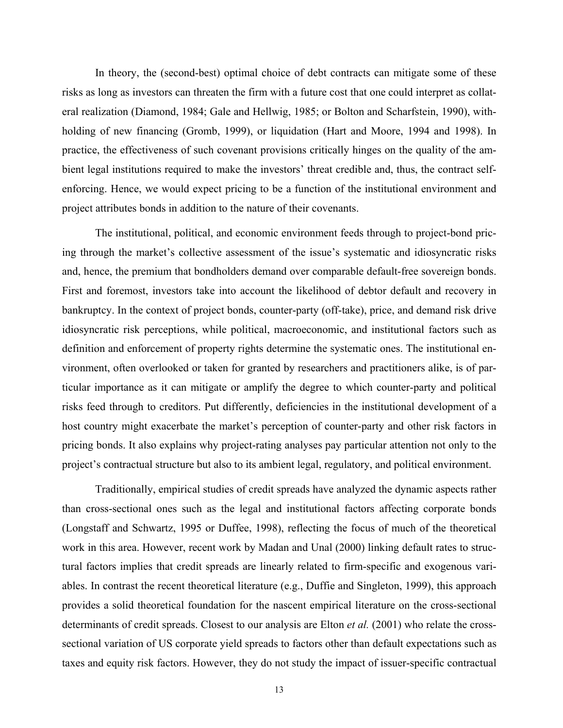In theory, the (second-best) optimal choice of debt contracts can mitigate some of these risks as long as investors can threaten the firm with a future cost that one could interpret as collateral realization (Diamond, 1984; Gale and Hellwig, 1985; or Bolton and Scharfstein, 1990), withholding of new financing (Gromb, 1999), or liquidation (Hart and Moore, 1994 and 1998). In practice, the effectiveness of such covenant provisions critically hinges on the quality of the ambient legal institutions required to make the investors' threat credible and, thus, the contract selfenforcing. Hence, we would expect pricing to be a function of the institutional environment and project attributes bonds in addition to the nature of their covenants.

The institutional, political, and economic environment feeds through to project-bond pricing through the market's collective assessment of the issue's systematic and idiosyncratic risks and, hence, the premium that bondholders demand over comparable default-free sovereign bonds. First and foremost, investors take into account the likelihood of debtor default and recovery in bankruptcy. In the context of project bonds, counter-party (off-take), price, and demand risk drive idiosyncratic risk perceptions, while political, macroeconomic, and institutional factors such as definition and enforcement of property rights determine the systematic ones. The institutional environment, often overlooked or taken for granted by researchers and practitioners alike, is of particular importance as it can mitigate or amplify the degree to which counter-party and political risks feed through to creditors. Put differently, deficiencies in the institutional development of a host country might exacerbate the market's perception of counter-party and other risk factors in pricing bonds. It also explains why project-rating analyses pay particular attention not only to the project's contractual structure but also to its ambient legal, regulatory, and political environment.

Traditionally, empirical studies of credit spreads have analyzed the dynamic aspects rather than cross-sectional ones such as the legal and institutional factors affecting corporate bonds (Longstaff and Schwartz, 1995 or Duffee, 1998), reflecting the focus of much of the theoretical work in this area. However, recent work by Madan and Unal (2000) linking default rates to structural factors implies that credit spreads are linearly related to firm-specific and exogenous variables. In contrast the recent theoretical literature (e.g., Duffie and Singleton, 1999), this approach provides a solid theoretical foundation for the nascent empirical literature on the cross-sectional determinants of credit spreads. Closest to our analysis are Elton *et al.* (2001) who relate the crosssectional variation of US corporate yield spreads to factors other than default expectations such as taxes and equity risk factors. However, they do not study the impact of issuer-specific contractual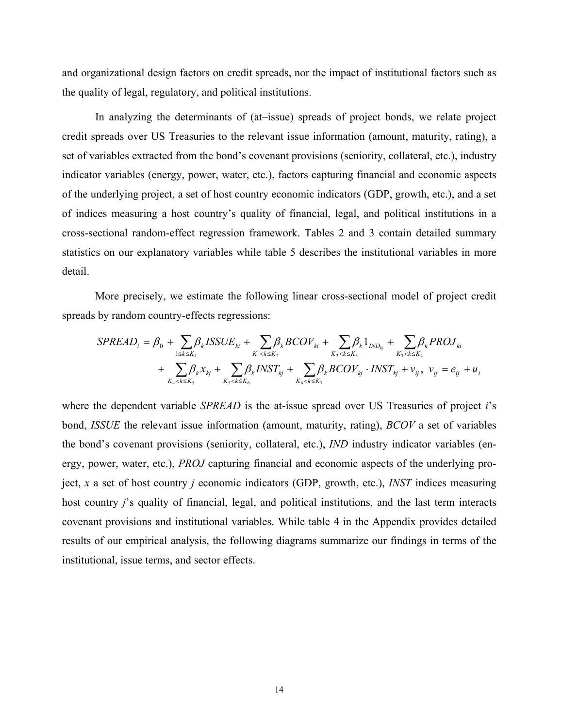and organizational design factors on credit spreads, nor the impact of institutional factors such as the quality of legal, regulatory, and political institutions.

In analyzing the determinants of (at–issue) spreads of project bonds, we relate project credit spreads over US Treasuries to the relevant issue information (amount, maturity, rating), a set of variables extracted from the bond's covenant provisions (seniority, collateral, etc.), industry indicator variables (energy, power, water, etc.), factors capturing financial and economic aspects of the underlying project, a set of host country economic indicators (GDP, growth, etc.), and a set of indices measuring a host country's quality of financial, legal, and political institutions in a cross-sectional random-effect regression framework. Tables 2 and 3 contain detailed summary statistics on our explanatory variables while table 5 describes the institutional variables in more detail.

More precisely, we estimate the following linear cross-sectional model of project credit spreads by random country-effects regressions:

$$
SPREAD_{i} = \beta_{0} + \sum_{1 \le k \le K_{1}} \beta_{k} \text{ISSUE}_{ki} + \sum_{K_{1} < k \le K_{2}} \beta_{k} \text{BCOV}_{ki} + \sum_{K_{2} < k \le K_{3}} \beta_{k} 1_{IND_{ki}} + \sum_{K_{3} < k \le K_{4}} \beta_{k} \text{PROJ}_{ki} + \sum_{K_{4} < k \le K_{5}} \beta_{k} X_{kj} + \sum_{K_{5} < k \le K_{6}} \beta_{k} \text{NST}_{kj} + \sum_{K_{6} < k \le K_{7}} \beta_{k} \text{BCOV}_{kj} \cdot \text{INST}_{kj} + v_{ij}, \ v_{ij} = e_{ij} + u_{ij}
$$

where the dependent variable *SPREAD* is the at-issue spread over US Treasuries of project *i*'s bond, *ISSUE* the relevant issue information (amount, maturity, rating), *BCOV* a set of variables the bond's covenant provisions (seniority, collateral, etc.), *IND* industry indicator variables (energy, power, water, etc.), *PROJ* capturing financial and economic aspects of the underlying project, *x* a set of host country *j* economic indicators (GDP, growth, etc.), *INST* indices measuring host country *j*'s quality of financial, legal, and political institutions, and the last term interacts covenant provisions and institutional variables. While table 4 in the Appendix provides detailed results of our empirical analysis, the following diagrams summarize our findings in terms of the institutional, issue terms, and sector effects.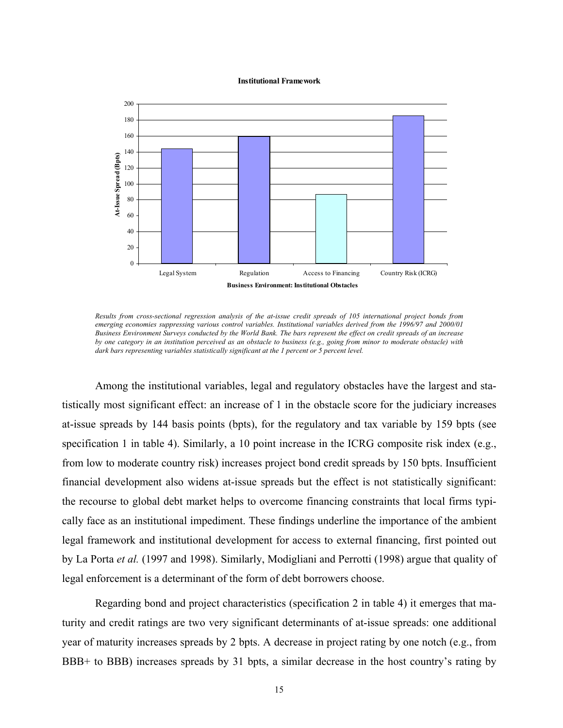#### **Institutional Framework**



*Results from cross-sectional regression analysis of the at-issue credit spreads of 105 international project bonds from emerging economies suppressing various control variables. Institutional variables derived from the 1996/97 and 2000/01 Business Environment Surveys conducted by the World Bank. The bars represent the effect on credit spreads of an increase by one category in an institution perceived as an obstacle to business (e.g., going from minor to moderate obstacle) with dark bars representing variables statistically significant at the 1 percent or 5 percent level.* 

Among the institutional variables, legal and regulatory obstacles have the largest and statistically most significant effect: an increase of 1 in the obstacle score for the judiciary increases at-issue spreads by 144 basis points (bpts), for the regulatory and tax variable by 159 bpts (see specification 1 in table 4). Similarly, a 10 point increase in the ICRG composite risk index (e.g., from low to moderate country risk) increases project bond credit spreads by 150 bpts. Insufficient financial development also widens at-issue spreads but the effect is not statistically significant: the recourse to global debt market helps to overcome financing constraints that local firms typically face as an institutional impediment. These findings underline the importance of the ambient legal framework and institutional development for access to external financing, first pointed out by La Porta *et al.* (1997 and 1998). Similarly, Modigliani and Perrotti (1998) argue that quality of legal enforcement is a determinant of the form of debt borrowers choose.

Regarding bond and project characteristics (specification 2 in table 4) it emerges that maturity and credit ratings are two very significant determinants of at-issue spreads: one additional year of maturity increases spreads by 2 bpts. A decrease in project rating by one notch (e.g., from BBB+ to BBB) increases spreads by 31 bpts, a similar decrease in the host country's rating by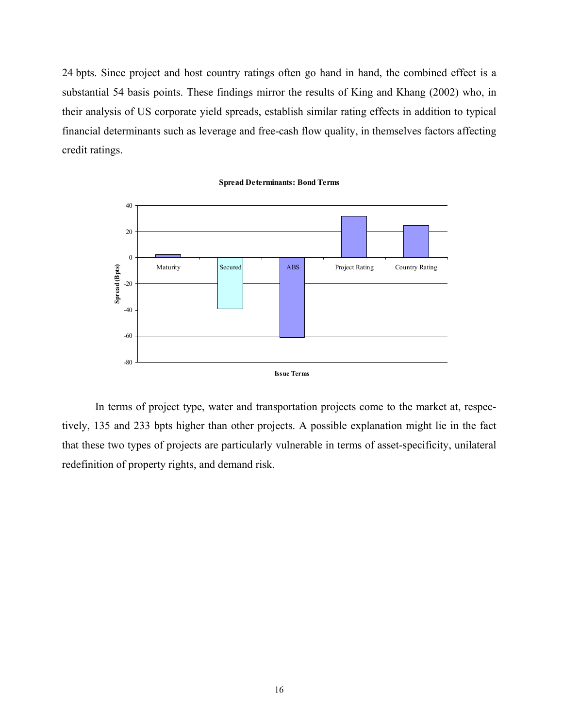24 bpts. Since project and host country ratings often go hand in hand, the combined effect is a substantial 54 basis points. These findings mirror the results of King and Khang (2002) who, in their analysis of US corporate yield spreads, establish similar rating effects in addition to typical financial determinants such as leverage and free-cash flow quality, in themselves factors affecting credit ratings.



**Spread Determinants: Bond Terms**

In terms of project type, water and transportation projects come to the market at, respectively, 135 and 233 bpts higher than other projects. A possible explanation might lie in the fact that these two types of projects are particularly vulnerable in terms of asset-specificity, unilateral redefinition of property rights, and demand risk.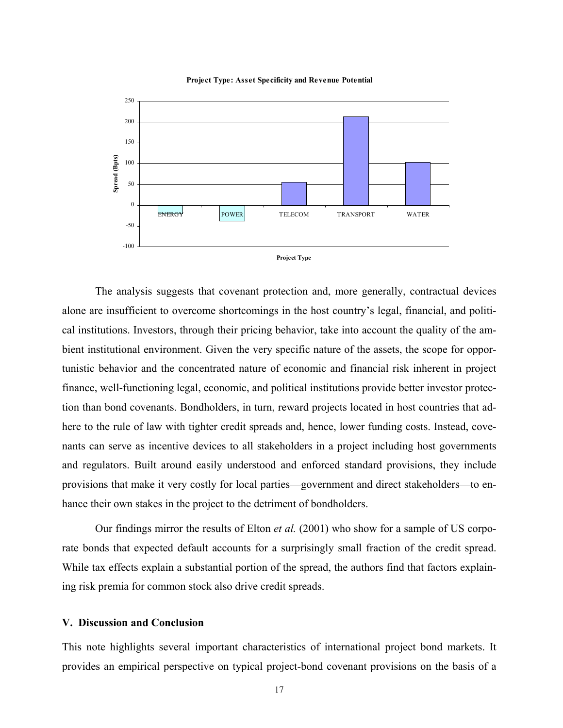





The analysis suggests that covenant protection and, more generally, contractual devices alone are insufficient to overcome shortcomings in the host country's legal, financial, and political institutions. Investors, through their pricing behavior, take into account the quality of the ambient institutional environment. Given the very specific nature of the assets, the scope for opportunistic behavior and the concentrated nature of economic and financial risk inherent in project finance, well-functioning legal, economic, and political institutions provide better investor protection than bond covenants. Bondholders, in turn, reward projects located in host countries that adhere to the rule of law with tighter credit spreads and, hence, lower funding costs. Instead, covenants can serve as incentive devices to all stakeholders in a project including host governments and regulators. Built around easily understood and enforced standard provisions, they include provisions that make it very costly for local parties—government and direct stakeholders—to enhance their own stakes in the project to the detriment of bondholders.

Our findings mirror the results of Elton *et al.* (2001) who show for a sample of US corporate bonds that expected default accounts for a surprisingly small fraction of the credit spread. While tax effects explain a substantial portion of the spread, the authors find that factors explaining risk premia for common stock also drive credit spreads.

## **V. Discussion and Conclusion**

This note highlights several important characteristics of international project bond markets. It provides an empirical perspective on typical project-bond covenant provisions on the basis of a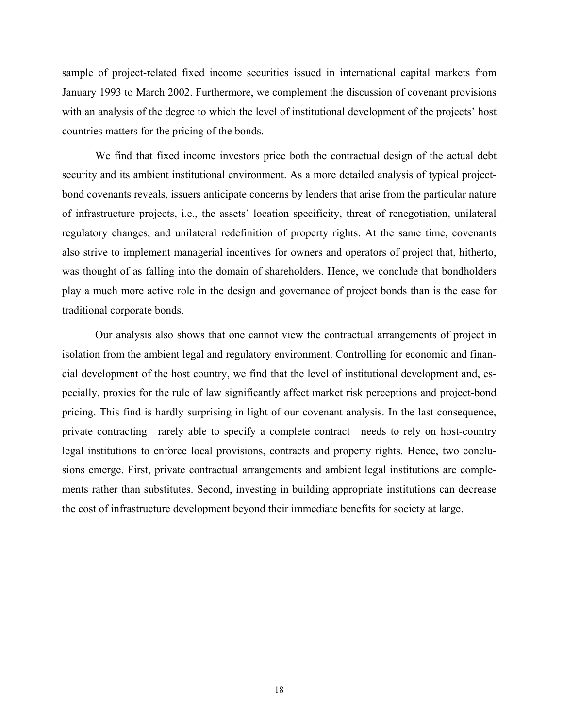sample of project-related fixed income securities issued in international capital markets from January 1993 to March 2002. Furthermore, we complement the discussion of covenant provisions with an analysis of the degree to which the level of institutional development of the projects' host countries matters for the pricing of the bonds.

We find that fixed income investors price both the contractual design of the actual debt security and its ambient institutional environment. As a more detailed analysis of typical projectbond covenants reveals, issuers anticipate concerns by lenders that arise from the particular nature of infrastructure projects, i.e., the assets' location specificity, threat of renegotiation, unilateral regulatory changes, and unilateral redefinition of property rights. At the same time, covenants also strive to implement managerial incentives for owners and operators of project that, hitherto, was thought of as falling into the domain of shareholders. Hence, we conclude that bondholders play a much more active role in the design and governance of project bonds than is the case for traditional corporate bonds.

Our analysis also shows that one cannot view the contractual arrangements of project in isolation from the ambient legal and regulatory environment. Controlling for economic and financial development of the host country, we find that the level of institutional development and, especially, proxies for the rule of law significantly affect market risk perceptions and project-bond pricing. This find is hardly surprising in light of our covenant analysis. In the last consequence, private contracting—rarely able to specify a complete contract—needs to rely on host-country legal institutions to enforce local provisions, contracts and property rights. Hence, two conclusions emerge. First, private contractual arrangements and ambient legal institutions are complements rather than substitutes. Second, investing in building appropriate institutions can decrease the cost of infrastructure development beyond their immediate benefits for society at large.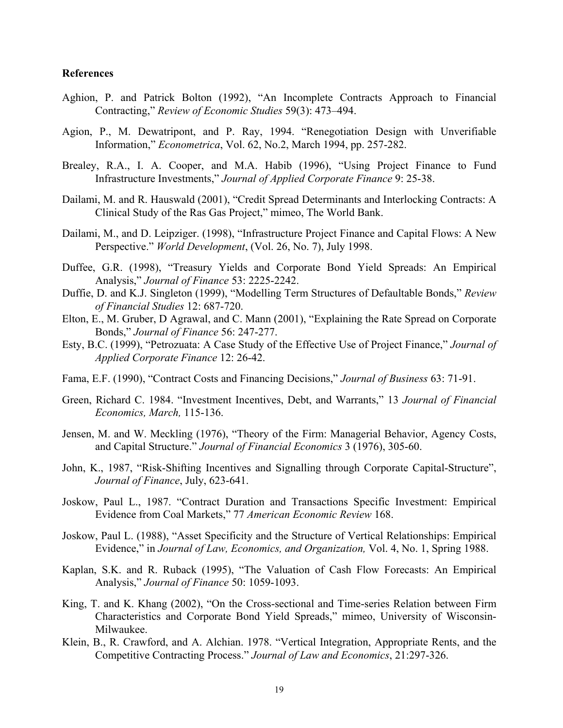## **References**

- Aghion, P. and Patrick Bolton (1992), "An Incomplete Contracts Approach to Financial Contracting," *Review of Economic Studies* 59(3): 473–494.
- Agion, P., M. Dewatripont, and P. Ray, 1994. "Renegotiation Design with Unverifiable Information," *Econometrica*, Vol. 62, No.2, March 1994, pp. 257-282.
- Brealey, R.A., I. A. Cooper, and M.A. Habib (1996), "Using Project Finance to Fund Infrastructure Investments," *Journal of Applied Corporate Finance* 9: 25-38.
- Dailami, M. and R. Hauswald (2001), "Credit Spread Determinants and Interlocking Contracts: A Clinical Study of the Ras Gas Project," mimeo, The World Bank.
- Dailami, M., and D. Leipziger. (1998), "Infrastructure Project Finance and Capital Flows: A New Perspective." *World Development*, (Vol. 26, No. 7), July 1998.
- Duffee, G.R. (1998), "Treasury Yields and Corporate Bond Yield Spreads: An Empirical Analysis," *Journal of Finance* 53: 2225-2242.
- Duffie, D. and K.J. Singleton (1999), "Modelling Term Structures of Defaultable Bonds," *Review of Financial Studies* 12: 687-720.
- Elton, E., M. Gruber, D Agrawal, and C. Mann (2001), "Explaining the Rate Spread on Corporate Bonds," *Journal of Finance* 56: 247-277.
- Esty, B.C. (1999), "Petrozuata: A Case Study of the Effective Use of Project Finance," *Journal of Applied Corporate Finance* 12: 26-42.
- Fama, E.F. (1990), "Contract Costs and Financing Decisions," *Journal of Business* 63: 71-91.
- Green, Richard C. 1984. "Investment Incentives, Debt, and Warrants," 13 *Journal of Financial Economics, March,* 115-136.
- Jensen, M. and W. Meckling (1976), "Theory of the Firm: Managerial Behavior, Agency Costs, and Capital Structure." *Journal of Financial Economics* 3 (1976), 305-60.
- John, K., 1987, "Risk-Shifting Incentives and Signalling through Corporate Capital-Structure", *Journal of Finance*, July, 623-641.
- Joskow, Paul L., 1987. "Contract Duration and Transactions Specific Investment: Empirical Evidence from Coal Markets," 77 *American Economic Review* 168.
- Joskow, Paul L. (1988), "Asset Specificity and the Structure of Vertical Relationships: Empirical Evidence," in *Journal of Law, Economics, and Organization,* Vol. 4, No. 1, Spring 1988.
- Kaplan, S.K. and R. Ruback (1995), "The Valuation of Cash Flow Forecasts: An Empirical Analysis," *Journal of Finance* 50: 1059-1093.
- King, T. and K. Khang (2002), "On the Cross-sectional and Time-series Relation between Firm Characteristics and Corporate Bond Yield Spreads," mimeo, University of Wisconsin-Milwaukee.
- Klein, B., R. Crawford, and A. Alchian. 1978. "Vertical Integration, Appropriate Rents, and the Competitive Contracting Process." *Journal of Law and Economics*, 21:297-326.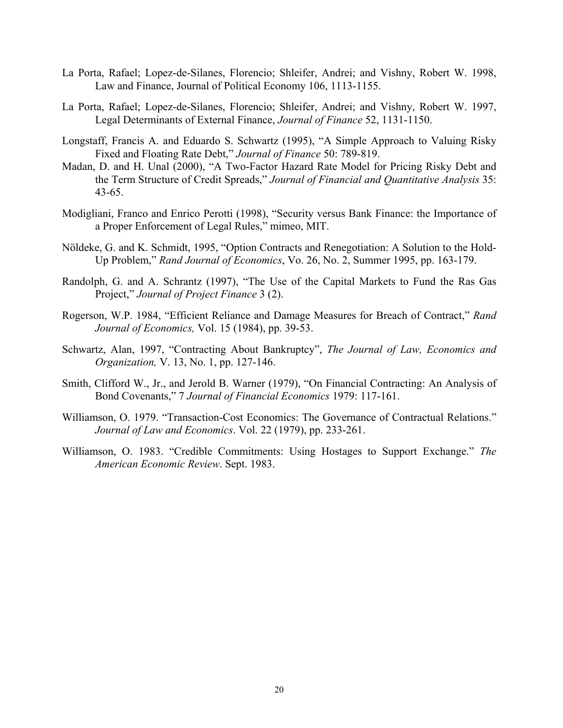- La Porta, Rafael; Lopez-de-Silanes, Florencio; Shleifer, Andrei; and Vishny, Robert W. 1998, Law and Finance, Journal of Political Economy 106, 1113-1155.
- La Porta, Rafael; Lopez-de-Silanes, Florencio; Shleifer, Andrei; and Vishny, Robert W. 1997, Legal Determinants of External Finance, *Journal of Finance* 52, 1131-1150.
- Longstaff, Francis A. and Eduardo S. Schwartz (1995), "A Simple Approach to Valuing Risky Fixed and Floating Rate Debt," *Journal of Finance* 50: 789-819.
- Madan, D. and H. Unal (2000), "A Two-Factor Hazard Rate Model for Pricing Risky Debt and the Term Structure of Credit Spreads," *Journal of Financial and Quantitative Analysis* 35: 43-65.
- Modigliani, Franco and Enrico Perotti (1998), "Security versus Bank Finance: the Importance of a Proper Enforcement of Legal Rules," mimeo, MIT.
- Nöldeke, G. and K. Schmidt, 1995, "Option Contracts and Renegotiation: A Solution to the Hold-Up Problem," *Rand Journal of Economics*, Vo. 26, No. 2, Summer 1995, pp. 163-179.
- Randolph, G. and A. Schrantz (1997), "The Use of the Capital Markets to Fund the Ras Gas Project," *Journal of Project Finance* 3 (2).
- Rogerson, W.P. 1984, "Efficient Reliance and Damage Measures for Breach of Contract," *Rand Journal of Economics,* Vol. 15 (1984), pp. 39-53.
- Schwartz, Alan, 1997, "Contracting About Bankruptcy", *The Journal of Law, Economics and Organization,* V. 13, No. 1, pp. 127-146.
- Smith, Clifford W., Jr., and Jerold B. Warner (1979), "On Financial Contracting: An Analysis of Bond Covenants," 7 *Journal of Financial Economics* 1979: 117-161.
- Williamson, O. 1979. "Transaction-Cost Economics: The Governance of Contractual Relations." *Journal of Law and Economics*. Vol. 22 (1979), pp. 233-261.
- Williamson, O. 1983. "Credible Commitments: Using Hostages to Support Exchange." *The American Economic Review*. Sept. 1983.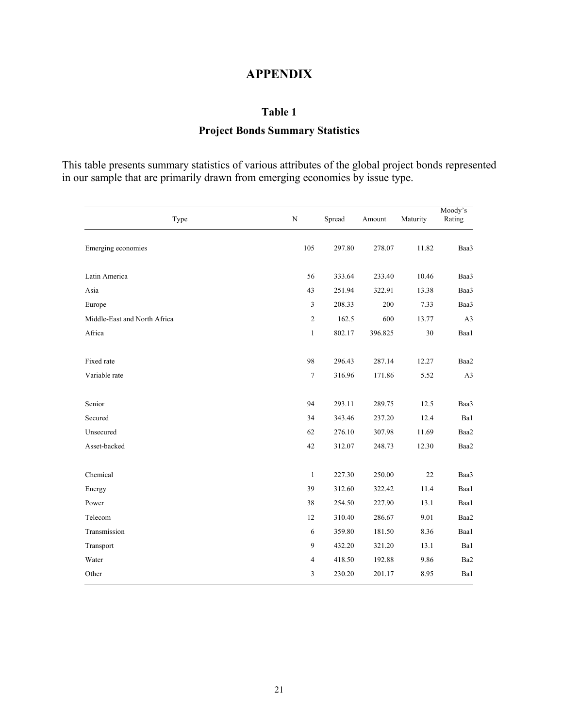## **APPENDIX**

## **Table 1**

## **Project Bonds Summary Statistics**

This table presents summary statistics of various attributes of the global project bonds represented in our sample that are primarily drawn from emerging economies by issue type.

| Type                         | ${\bf N}$        | Spread | Amount  | Maturity | Moody's<br>Rating |
|------------------------------|------------------|--------|---------|----------|-------------------|
| Emerging economies           | 105              | 297.80 | 278.07  | 11.82    | Baa3              |
| Latin America                | 56               | 333.64 | 233.40  | 10.46    | Baa3              |
| Asia                         | 43               | 251.94 | 322.91  | 13.38    | Baa3              |
| Europe                       | 3                | 208.33 | 200     | 7.33     | Baa3              |
| Middle-East and North Africa | $\boldsymbol{2}$ | 162.5  | 600     | 13.77    | A3                |
| Africa                       | $\mathbf{1}$     | 802.17 | 396.825 | 30       | Baa1              |
| Fixed rate                   | 98               | 296.43 | 287.14  | 12.27    | Baa2              |
| Variable rate                | $\boldsymbol{7}$ | 316.96 | 171.86  | 5.52     | A3                |
| Senior                       | 94               | 293.11 | 289.75  | 12.5     | Baa3              |
| Secured                      | 34               | 343.46 | 237.20  | 12.4     | Ba1               |
| Unsecured                    | 62               | 276.10 | 307.98  | 11.69    | Baa2              |
| Asset-backed                 | 42               | 312.07 | 248.73  | 12.30    | Baa2              |
| Chemical                     | $\mathbf{1}$     | 227.30 | 250.00  | 22       | Baa3              |
| Energy                       | 39               | 312.60 | 322.42  | 11.4     | Baa1              |
| Power                        | 38               | 254.50 | 227.90  | 13.1     | Baa1              |
| Telecom                      | 12               | 310.40 | 286.67  | 9.01     | Baa2              |
| Transmission                 | 6                | 359.80 | 181.50  | 8.36     | Baa1              |
| Transport                    | 9                | 432.20 | 321.20  | 13.1     | Ba1               |
| Water                        | 4                | 418.50 | 192.88  | 9.86     | Ba2               |
| Other                        | 3                | 230.20 | 201.17  | 8.95     | Ba1               |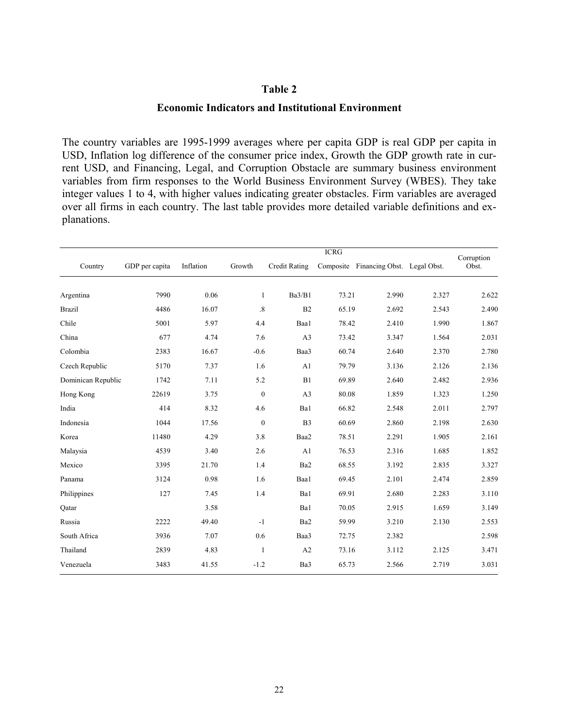## **Economic Indicators and Institutional Environment**

The country variables are 1995-1999 averages where per capita GDP is real GDP per capita in USD, Inflation log difference of the consumer price index, Growth the GDP growth rate in current USD, and Financing, Legal, and Corruption Obstacle are summary business environment variables from firm responses to the World Business Environment Survey (WBES). They take integer values 1 to 4, with higher values indicating greater obstacles. Firm variables are averaged over all firms in each country. The last table provides more detailed variable definitions and explanations.

|                    |                |           |                  | <b>ICRG</b>          |           |                             |       |                     |  |
|--------------------|----------------|-----------|------------------|----------------------|-----------|-----------------------------|-------|---------------------|--|
| Country            | GDP per capita | Inflation | Growth           | <b>Credit Rating</b> | Composite | Financing Obst. Legal Obst. |       | Corruption<br>Obst. |  |
| Argentina          | 7990           | 0.06      | $\mathbf{1}$     | Ba3/B1               | 73.21     | 2.990                       | 2.327 | 2.622               |  |
| <b>Brazil</b>      | 4486           | 16.07     | $.8\,$           | B2                   | 65.19     | 2.692                       | 2.543 | 2.490               |  |
| Chile              | 5001           | 5.97      | 4.4              | Baa1                 | 78.42     | 2.410                       | 1.990 | 1.867               |  |
| China              | 677            | 4.74      | 7.6              | A <sub>3</sub>       | 73.42     | 3.347                       | 1.564 | 2.031               |  |
| Colombia           | 2383           | 16.67     | $-0.6$           | Baa3                 | 60.74     | 2.640                       | 2.370 | 2.780               |  |
| Czech Republic     | 5170           | 7.37      | 1.6              | A1                   | 79.79     | 3.136                       | 2.126 | 2.136               |  |
| Dominican Republic | 1742           | 7.11      | 5.2              | B1                   | 69.89     | 2.640                       | 2.482 | 2.936               |  |
| Hong Kong          | 22619          | 3.75      | $\boldsymbol{0}$ | A <sub>3</sub>       | 80.08     | 1.859                       | 1.323 | 1.250               |  |
| India              | 414            | 8.32      | 4.6              | Ba1                  | 66.82     | 2.548                       | 2.011 | 2.797               |  |
| Indonesia          | 1044           | 17.56     | $\boldsymbol{0}$ | B <sub>3</sub>       | 60.69     | 2.860                       | 2.198 | 2.630               |  |
| Korea              | 11480          | 4.29      | 3.8              | Baa2                 | 78.51     | 2.291                       | 1.905 | 2.161               |  |
| Malaysia           | 4539           | 3.40      | 2.6              | A1                   | 76.53     | 2.316                       | 1.685 | 1.852               |  |
| Mexico             | 3395           | 21.70     | 1.4              | Ba2                  | 68.55     | 3.192                       | 2.835 | 3.327               |  |
| Panama             | 3124           | 0.98      | 1.6              | Baa1                 | 69.45     | 2.101                       | 2.474 | 2.859               |  |
| Philippines        | 127            | 7.45      | 1.4              | Ba1                  | 69.91     | 2.680                       | 2.283 | 3.110               |  |
| Qatar              |                | 3.58      |                  | Ba1                  | 70.05     | 2.915                       | 1.659 | 3.149               |  |
| Russia             | 2222           | 49.40     | $-1$             | Ba2                  | 59.99     | 3.210                       | 2.130 | 2.553               |  |
| South Africa       | 3936           | 7.07      | 0.6              | Baa3                 | 72.75     | 2.382                       |       | 2.598               |  |
| Thailand           | 2839           | 4.83      | $\mathbf{1}$     | A2                   | 73.16     | 3.112                       | 2.125 | 3.471               |  |
| Venezuela          | 3483           | 41.55     | $-1.2$           | Ba3                  | 65.73     | 2.566                       | 2.719 | 3.031               |  |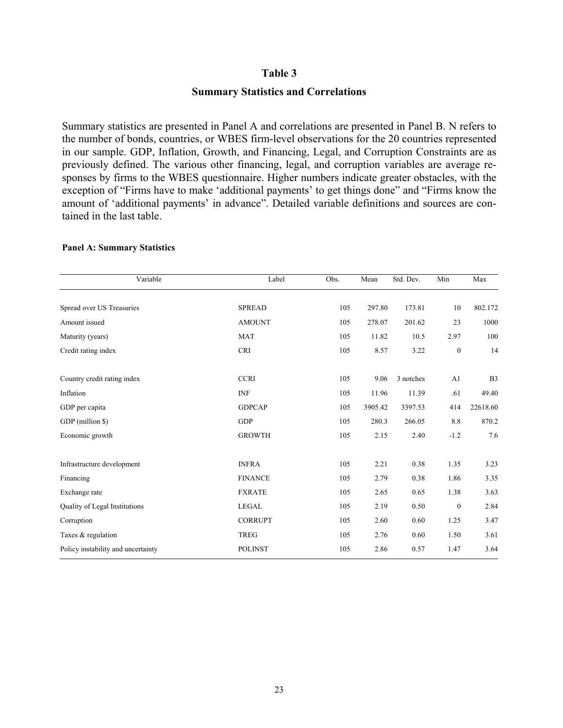## **Summary Statistics and Correlations**

Summary statistics are presented in Panel A and correlations are presented in Panel B. N refers to the number of bonds, countries, or WBES firm-level observations for the 20 countries represented in our sample. GDP, Inflation, Growth, and Financing, Legal, and Corruption Constraints are as previously defined. The various other financing, legal, and corruption variables are average responses by firms to the WBES questionnaire. Higher numbers indicate greater obstacles, with the exception of "Firms have to make 'additional payments' to get things done" and "Firms know the amount of 'additional payments' in advance". Detailed variable definitions and sources are contained in the last table.

| Variable                           | Label          | Obs. | Mean    | Std. Dev. | Min      | Max            |
|------------------------------------|----------------|------|---------|-----------|----------|----------------|
| Spread over US Treasuries          | <b>SPREAD</b>  | 105  | 297.80  | 173.81    | 10       | 802.172        |
| Amount issued                      | <b>AMOUNT</b>  | 105  | 278.07  | 201.62    | 23       | 1000           |
| Maturity (years)                   | <b>MAT</b>     | 105  | 11.82   | 10.5      | 2.97     | 100            |
|                                    |                |      |         |           |          |                |
| Credit rating index                | <b>CRI</b>     | 105  | 8.57    | 3.22      | $\bf{0}$ | 14             |
|                                    |                |      |         |           |          |                |
| Country credit rating index        | <b>CCRI</b>    | 105  | 9.06    | 3 notches | A1       | B <sub>3</sub> |
| Inflation                          | <b>INF</b>     | 105  | 11.96   | 11.39     | .61      | 49.40          |
| GDP per capita                     | <b>GDPCAP</b>  | 105  | 3905.42 | 3397.53   | 414      | 22618.60       |
| GDP (million \$)                   | <b>GDP</b>     | 105  | 280.3   | 266.05    | 8.8      | 870.2          |
| Economic growth                    | <b>GROWTH</b>  | 105  | 2.15    | 2.40      | $-1.2$   | 7.6            |
|                                    |                |      |         |           |          |                |
| Infrastructure development         | <b>INFRA</b>   | 105  | 2.21    | 0.38      | 1.35     | 3.23           |
| Financing                          | <b>FINANCE</b> | 105  | 2.79    | 0.38      | 1.86     | 3.35           |
| Exchange rate                      | <b>FXRATE</b>  | 105  | 2.65    | 0.65      | 1.38     | 3.63           |
| Quality of Legal Institutions      | LEGAL          | 105  | 2.19    | 0.50      | $\bf{0}$ | 2.84           |
| Corruption                         | <b>CORRUPT</b> | 105  | 2.60    | 0.60      | 1.25     | 3.47           |
| Taxes & regulation                 | <b>TREG</b>    | 105  | 2.76    | 0.60      | 1.50     | 3.61           |
| Policy instability and uncertainty | <b>POLINST</b> | 105  | 2.86    | 0.57      | 1.47     | 3.64           |

#### **Panel A: Summary Statistics**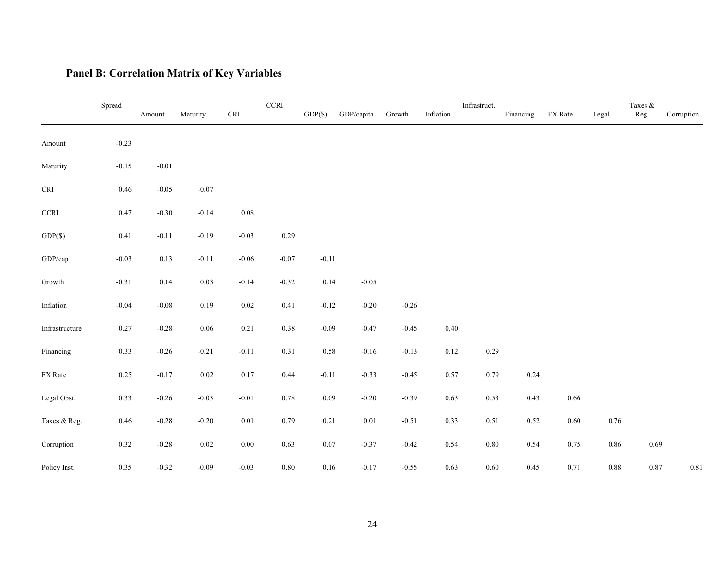## **Panel B: Correlation Matrix of Key Variables**

|                            | Spread   |         |          |                             | <b>CCRI</b> |            |            |         | Infrastruct. |          |           |          | Taxes $\&$ |      |            |
|----------------------------|----------|---------|----------|-----------------------------|-------------|------------|------------|---------|--------------|----------|-----------|----------|------------|------|------------|
|                            |          | Amount  | Maturity | $\ensuremath{\mathsf{CRI}}$ |             | $GDP(\$))$ | GDP/capita | Growth  | Inflation    |          | Financing | FX Rate  | Legal      | Reg. | Corruption |
|                            |          |         |          |                             |             |            |            |         |              |          |           |          |            |      |            |
| Amount                     | $-0.23$  |         |          |                             |             |            |            |         |              |          |           |          |            |      |            |
|                            |          |         |          |                             |             |            |            |         |              |          |           |          |            |      |            |
| Maturity                   | $-0.15$  | $-0.01$ |          |                             |             |            |            |         |              |          |           |          |            |      |            |
| CRI                        | $0.46\,$ | $-0.05$ | $-0.07$  |                             |             |            |            |         |              |          |           |          |            |      |            |
|                            |          |         |          |                             |             |            |            |         |              |          |           |          |            |      |            |
| $\ensuremath{\text{CCRI}}$ | 0.47     | $-0.30$ | $-0.14$  | $0.08\,$                    |             |            |            |         |              |          |           |          |            |      |            |
| $GDP(\$))$                 | 0.41     | $-0.11$ | $-0.19$  | $-0.03$                     | 0.29        |            |            |         |              |          |           |          |            |      |            |
|                            |          |         |          |                             |             |            |            |         |              |          |           |          |            |      |            |
| GDP/cap                    | $-0.03$  | 0.13    | $-0.11$  | $-0.06$                     | $-0.07$     | $-0.11$    |            |         |              |          |           |          |            |      |            |
|                            |          |         |          |                             |             |            |            |         |              |          |           |          |            |      |            |
| Growth                     | $-0.31$  | 0.14    | 0.03     | $-0.14$                     | $-0.32$     | 0.14       | $-0.05$    |         |              |          |           |          |            |      |            |
| Inflation                  | $-0.04$  | $-0.08$ | 0.19     | $0.02\,$                    | 0.41        | $-0.12$    | $-0.20$    | $-0.26$ |              |          |           |          |            |      |            |
|                            |          |         |          |                             |             |            |            |         |              |          |           |          |            |      |            |
| Infrastructure             | 0.27     | $-0.28$ | 0.06     | 0.21                        | $0.38\,$    | $-0.09$    | $-0.47$    | $-0.45$ | 0.40         |          |           |          |            |      |            |
| Financing                  | 0.33     | $-0.26$ | $-0.21$  | $-0.11$                     | 0.31        | $0.58\,$   | $-0.16$    | $-0.13$ | 0.12         | 0.29     |           |          |            |      |            |
|                            |          |         |          |                             |             |            |            |         |              |          |           |          |            |      |            |
| FX Rate                    | 0.25     | $-0.17$ | 0.02     | $0.17\,$                    | 0.44        | $-0.11$    | $-0.33$    | $-0.45$ | 0.57         | 0.79     | 0.24      |          |            |      |            |
|                            |          |         |          |                             |             |            |            |         |              |          |           |          |            |      |            |
| Legal Obst.                | 0.33     | $-0.26$ | $-0.03$  | $-0.01$                     | 0.78        | $0.09\,$   | $-0.20$    | $-0.39$ | 0.63         | 0.53     | 0.43      | 0.66     |            |      |            |
| Taxes & Reg.               | $0.46\,$ | $-0.28$ | $-0.20$  | $0.01\,$                    | 0.79        | 0.21       | $0.01\,$   | $-0.51$ | 0.33         | 0.51     | $0.52\,$  | $0.60\,$ | 0.76       |      |            |
|                            |          |         |          |                             |             |            |            |         |              |          |           |          |            |      |            |
| Corruption                 | 0.32     | $-0.28$ | $0.02\,$ | $0.00\,$                    | 0.63        | $0.07\,$   | $-0.37$    | $-0.42$ | 0.54         | $0.80\,$ | 0.54      | 0.75     | $0.86\,$   | 0.69 |            |
|                            |          |         |          |                             |             |            |            |         |              |          |           |          |            |      |            |
| Policy Inst.               | 0.35     | $-0.32$ | $-0.09$  | $-0.03$                     | $0.80\,$    | $0.16\,$   | $-0.17$    | $-0.55$ | 0.63         | $0.60\,$ | 0.45      | 0.71     | $0.88\,$   | 0.87 | 0.81       |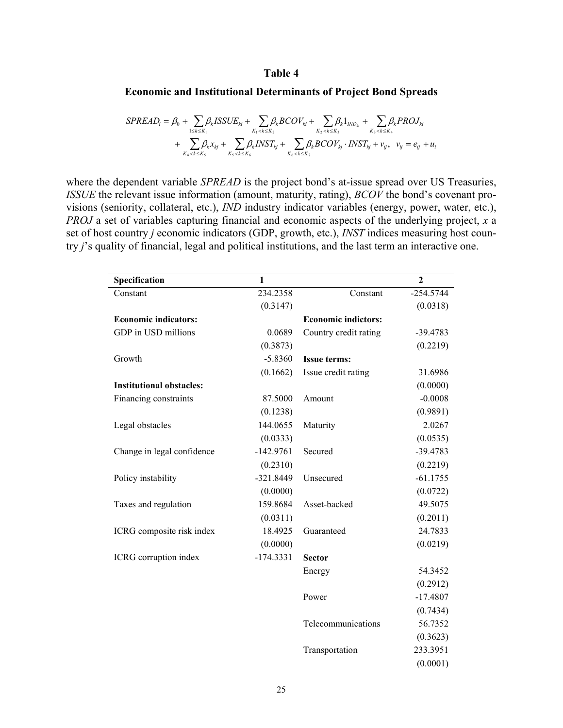## **Economic and Institutional Determinants of Project Bond Spreads**

$$
SPREADi = \beta0 + \sum_{1 \le k \le K_1} \beta_k ISSUE_{ki} + \sum_{K_1 < k \le K_2} \beta_k BCOV_{ki} + \sum_{K_2 < k \le K_3} \beta_k PROJ_{ki}
$$
  
+ 
$$
\sum_{K_4 < k \le K_5} \beta_k x_{kj} + \sum_{K_5 < k \le K_6} \beta_k INST_{kj} + \sum_{K_6 < k \le K_7} \beta_k BCOV_{kj} \cdot INST_{kj} + v_{ij}, \quad v_{ij} = e_{ij} + u_{ij}
$$

where the dependent variable *SPREAD* is the project bond's at-issue spread over US Treasuries, *ISSUE* the relevant issue information (amount, maturity, rating), *BCOV* the bond's covenant provisions (seniority, collateral, etc.), *IND* industry indicator variables (energy, power, water, etc.), *PROJ* a set of variables capturing financial and economic aspects of the underlying project, *x* a set of host country *j* economic indicators (GDP, growth, etc.), *INST* indices measuring host country *j*'s quality of financial, legal and political institutions, and the last term an interactive one.

| Specification                   | 1           |                            | $\overline{2}$ |
|---------------------------------|-------------|----------------------------|----------------|
| Constant                        | 234.2358    | Constant                   | $-254.5744$    |
|                                 | (0.3147)    |                            | (0.0318)       |
| <b>Economic indicators:</b>     |             | <b>Economic indictors:</b> |                |
| GDP in USD millions             | 0.0689      | Country credit rating      | $-39.4783$     |
|                                 | (0.3873)    |                            | (0.2219)       |
| Growth                          | $-5.8360$   | <b>Issue terms:</b>        |                |
|                                 | (0.1662)    | Issue credit rating        | 31.6986        |
| <b>Institutional obstacles:</b> |             |                            | (0.0000)       |
| Financing constraints           | 87.5000     | Amount                     | $-0.0008$      |
|                                 | (0.1238)    |                            | (0.9891)       |
| Legal obstacles                 | 144.0655    | Maturity                   | 2.0267         |
|                                 | (0.0333)    |                            | (0.0535)       |
| Change in legal confidence      | $-142.9761$ | Secured                    | $-39.4783$     |
|                                 | (0.2310)    |                            | (0.2219)       |
| Policy instability              | $-321.8449$ | Unsecured                  | $-61.1755$     |
|                                 | (0.0000)    |                            | (0.0722)       |
| Taxes and regulation            | 159.8684    | Asset-backed               | 49.5075        |
|                                 | (0.0311)    |                            | (0.2011)       |
| ICRG composite risk index       | 18.4925     | Guaranteed                 | 24.7833        |
|                                 | (0.0000)    |                            | (0.0219)       |
| ICRG corruption index           | $-174.3331$ | <b>Sector</b>              |                |
|                                 |             | Energy                     | 54.3452        |
|                                 |             |                            | (0.2912)       |
|                                 |             | Power                      | $-17.4807$     |
|                                 |             |                            | (0.7434)       |
|                                 |             | Telecommunications         | 56.7352        |
|                                 |             |                            | (0.3623)       |
|                                 |             | Transportation             | 233.3951       |
|                                 |             |                            | (0.0001)       |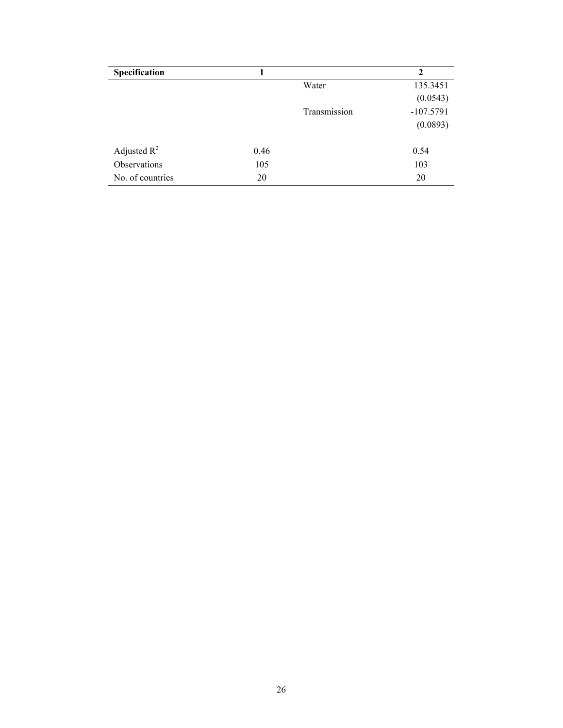| Specification    |      |              | $\mathbf{2}$ |
|------------------|------|--------------|--------------|
|                  |      | Water        | 135.3451     |
|                  |      |              | (0.0543)     |
|                  |      | Transmission | $-107.5791$  |
|                  |      |              | (0.0893)     |
| Adjusted $R^2$   | 0.46 |              | 0.54         |
| Observations     | 105  |              | 103          |
| No. of countries | 20   |              | 20           |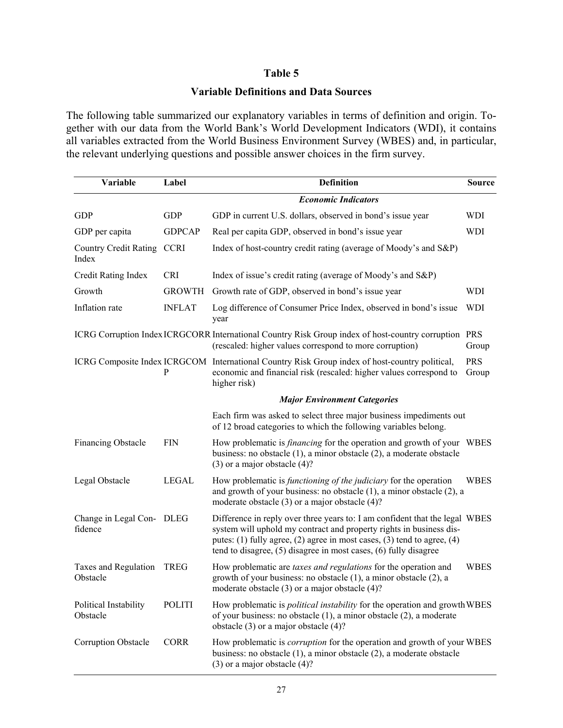## **Variable Definitions and Data Sources**

The following table summarized our explanatory variables in terms of definition and origin. Together with our data from the World Bank's World Development Indicators (WDI), it contains all variables extracted from the World Business Environment Survey (WBES) and, in particular, the relevant underlying questions and possible answer choices in the firm survey.

| Variable                              | Label         | <b>Definition</b>                                                                                                                                                                                                                                                                                         | <b>Source</b>       |  |  |  |  |  |  |
|---------------------------------------|---------------|-----------------------------------------------------------------------------------------------------------------------------------------------------------------------------------------------------------------------------------------------------------------------------------------------------------|---------------------|--|--|--|--|--|--|
|                                       |               | <b>Economic Indicators</b>                                                                                                                                                                                                                                                                                |                     |  |  |  |  |  |  |
| <b>GDP</b>                            | <b>GDP</b>    | GDP in current U.S. dollars, observed in bond's issue year                                                                                                                                                                                                                                                | <b>WDI</b>          |  |  |  |  |  |  |
| GDP per capita                        | <b>GDPCAP</b> | Real per capita GDP, observed in bond's issue year                                                                                                                                                                                                                                                        | WDI                 |  |  |  |  |  |  |
| <b>Country Credit Rating</b><br>Index | <b>CCRI</b>   | Index of host-country credit rating (average of Moody's and S&P)                                                                                                                                                                                                                                          |                     |  |  |  |  |  |  |
| Credit Rating Index                   | <b>CRI</b>    | Index of issue's credit rating (average of Moody's and S&P)                                                                                                                                                                                                                                               |                     |  |  |  |  |  |  |
| Growth                                | <b>GROWTH</b> | Growth rate of GDP, observed in bond's issue year                                                                                                                                                                                                                                                         | <b>WDI</b>          |  |  |  |  |  |  |
| Inflation rate                        | <b>INFLAT</b> | Log difference of Consumer Price Index, observed in bond's issue<br>year                                                                                                                                                                                                                                  | <b>WDI</b>          |  |  |  |  |  |  |
|                                       |               | ICRG Corruption Index ICRGCORR International Country Risk Group index of host-country corruption PRS<br>(rescaled: higher values correspond to more corruption)                                                                                                                                           | Group               |  |  |  |  |  |  |
|                                       | P             | ICRG Composite Index ICRGCOM International Country Risk Group index of host-country political,<br>economic and financial risk (rescaled: higher values correspond to<br>higher risk)                                                                                                                      | <b>PRS</b><br>Group |  |  |  |  |  |  |
|                                       |               | <b>Major Environment Categories</b>                                                                                                                                                                                                                                                                       |                     |  |  |  |  |  |  |
|                                       |               | Each firm was asked to select three major business impediments out<br>of 12 broad categories to which the following variables belong.                                                                                                                                                                     |                     |  |  |  |  |  |  |
| <b>Financing Obstacle</b>             | <b>FIN</b>    | How problematic is <i>financing</i> for the operation and growth of your WBES<br>business: no obstacle (1), a minor obstacle (2), a moderate obstacle<br>$(3)$ or a major obstacle $(4)$ ?                                                                                                                |                     |  |  |  |  |  |  |
| Legal Obstacle                        | <b>LEGAL</b>  | How problematic is <i>functioning of the judiciary</i> for the operation<br>and growth of your business: no obstacle $(1)$ , a minor obstacle $(2)$ , a<br>moderate obstacle $(3)$ or a major obstacle $(4)$ ?                                                                                            | <b>WBES</b>         |  |  |  |  |  |  |
| Change in Legal Con- DLEG<br>fidence  |               | Difference in reply over three years to: I am confident that the legal WBES<br>system will uphold my contract and property rights in business dis-<br>putes: $(1)$ fully agree, $(2)$ agree in most cases, $(3)$ tend to agree, $(4)$<br>tend to disagree, (5) disagree in most cases, (6) fully disagree |                     |  |  |  |  |  |  |
| Taxes and Regulation<br>Obstacle      | <b>TREG</b>   | How problematic are taxes and regulations for the operation and<br>growth of your business: no obstacle (1), a minor obstacle (2), a<br>moderate obstacle $(3)$ or a major obstacle $(4)$ ?                                                                                                               | <b>WBES</b>         |  |  |  |  |  |  |
| Political Instability<br>Obstacle     | <b>POLITI</b> | How problematic is <i>political instability</i> for the operation and growth WBES<br>of your business: no obstacle $(1)$ , a minor obstacle $(2)$ , a moderate<br>obstacle $(3)$ or a major obstacle $(4)$ ?                                                                                              |                     |  |  |  |  |  |  |
| <b>Corruption Obstacle</b>            | <b>CORR</b>   | How problematic is <i>corruption</i> for the operation and growth of your WBES<br>business: no obstacle (1), a minor obstacle (2), a moderate obstacle<br>$(3)$ or a major obstacle $(4)$ ?                                                                                                               |                     |  |  |  |  |  |  |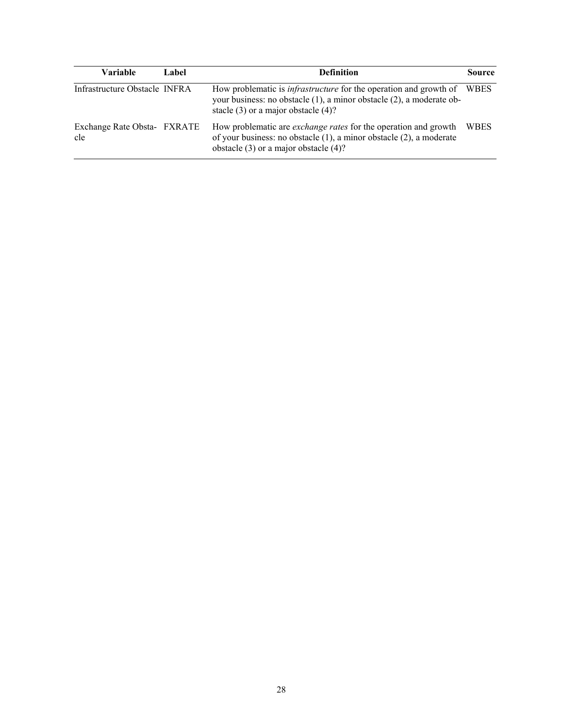| Variable                           | Label | <b>Definition</b>                                                                                                                                                                                 | <b>Source</b> |
|------------------------------------|-------|---------------------------------------------------------------------------------------------------------------------------------------------------------------------------------------------------|---------------|
| Infrastructure Obstacle INFRA      |       | How problematic is <i>infrastructure</i> for the operation and growth of WBES<br>your business: no obstacle (1), a minor obstacle (2), a moderate ob-<br>stacle $(3)$ or a major obstacle $(4)$ ? |               |
| Exchange Rate Obsta- FXRATE<br>cle |       | How problematic are <i>exchange rates</i> for the operation and growth<br>of your business: no obstacle $(1)$ , a minor obstacle $(2)$ , a moderate<br>obstacle $(3)$ or a major obstacle $(4)$ ? | <b>WBES</b>   |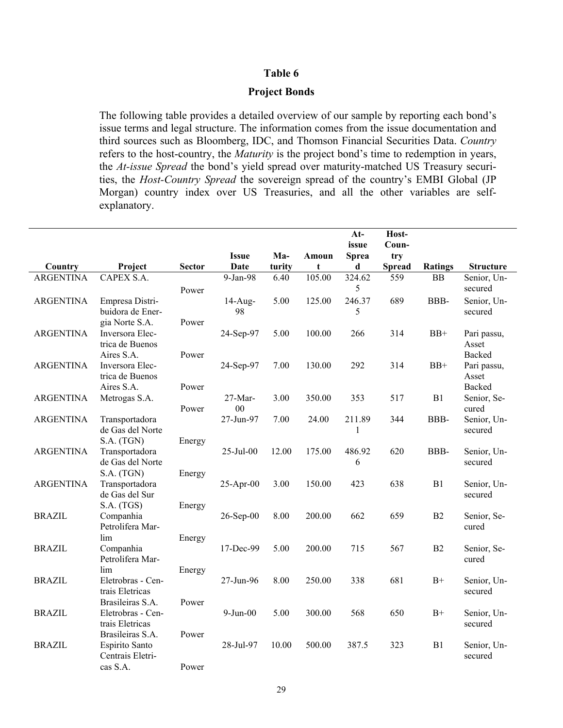## **Project Bonds**

The following table provides a detailed overview of our sample by reporting each bond's issue terms and legal structure. The information comes from the issue documentation and third sources such as Bloomberg, IDC, and Thomson Financial Securities Data. *Country* refers to the host-country, the *Maturity* is the project bond's time to redemption in years, the *At-issue Spread* the bond's yield spread over maturity-matched US Treasury securities, the *Host-Country Spread* the sovereign spread of the country's EMBI Global (JP Morgan) country index over US Treasuries, and all the other variables are selfexplanatory.

|                  |                                      |               |                |        |        | $At-$<br>issue | Host-<br>Coun- |                |                        |
|------------------|--------------------------------------|---------------|----------------|--------|--------|----------------|----------------|----------------|------------------------|
|                  |                                      |               | <b>Issue</b>   | Ma-    | Amoun  | <b>Sprea</b>   | try            |                |                        |
| Country          | Project                              | <b>Sector</b> | <b>Date</b>    | turity | t      | d              | <b>Spread</b>  | <b>Ratings</b> | <b>Structure</b>       |
| <b>ARGENTINA</b> | CAPEX S.A.                           |               | 9-Jan-98       | 6.40   | 105.00 | 324.62         | 559            | BB             | Senior, Un-            |
|                  |                                      | Power         |                |        |        | 5              |                |                | secured                |
| <b>ARGENTINA</b> | Empresa Distri-                      |               | $14$ -Aug-     | 5.00   | 125.00 | 246.37         | 689            | BBB-           | Senior, Un-            |
|                  | buidora de Ener-                     |               | 98             |        |        | 5              |                |                | secured                |
|                  | gia Norte S.A.                       | Power         |                |        |        |                |                |                |                        |
| <b>ARGENTINA</b> | Inversora Elec-                      |               | 24-Sep-97      | 5.00   | 100.00 | 266            | 314            | $BB+$          | Pari passu,            |
|                  | trica de Buenos                      |               |                |        |        |                |                |                | Asset                  |
|                  | Aires S.A.                           | Power         |                |        |        |                |                |                | Backed                 |
| <b>ARGENTINA</b> | Inversora Elec-                      |               | 24-Sep-97      | 7.00   | 130.00 | 292            | 314            | $BB+$          | Pari passu,            |
|                  | trica de Buenos<br>Aires S.A.        | Power         |                |        |        |                |                |                | Asset<br><b>Backed</b> |
| <b>ARGENTINA</b> | Metrogas S.A.                        |               | 27-Mar-        | 3.00   | 350.00 | 353            | 517            | B1             | Senior, Se-            |
|                  |                                      | Power         | 00             |        |        |                |                |                | cured                  |
| <b>ARGENTINA</b> | Transportadora                       |               | 27-Jun-97      | 7.00   | 24.00  | 211.89         | 344            | BBB-           | Senior, Un-            |
|                  | de Gas del Norte                     |               |                |        |        | 1              |                |                | secured                |
|                  | S.A. (TGN)                           | Energy        |                |        |        |                |                |                |                        |
| <b>ARGENTINA</b> | Transportadora                       |               | 25-Jul-00      | 12.00  | 175.00 | 486.92         | 620            | BBB-           | Senior, Un-            |
|                  | de Gas del Norte                     |               |                |        |        | 6              |                |                | secured                |
|                  | S.A. (TGN)                           | Energy        |                |        |        |                |                |                |                        |
| <b>ARGENTINA</b> | Transportadora                       |               | $25-Apr-00$    | 3.00   | 150.00 | 423            | 638            | B1             | Senior, Un-            |
|                  | de Gas del Sur<br>S.A. (TGS)         |               |                |        |        |                |                |                | secured                |
| <b>BRAZIL</b>    | Companhia                            | Energy        | 26-Sep-00      | 8.00   | 200.00 | 662            | 659            | B2             | Senior, Se-            |
|                  | Petrolifera Mar-                     |               |                |        |        |                |                |                | cured                  |
|                  | lim                                  | Energy        |                |        |        |                |                |                |                        |
| <b>BRAZIL</b>    | Companhia                            |               | 17-Dec-99      | 5.00   | 200.00 | 715            | 567            | B <sub>2</sub> | Senior, Se-            |
|                  | Petrolifera Mar-                     |               |                |        |        |                |                |                | cured                  |
|                  | lim                                  | Energy        |                |        |        |                |                |                |                        |
| <b>BRAZIL</b>    | Eletrobras - Cen-                    |               | 27-Jun-96      | 8.00   | 250.00 | 338            | 681            | $B+$           | Senior, Un-            |
|                  | trais Eletricas                      |               |                |        |        |                |                |                | secured                |
|                  | Brasileiras S.A.                     | Power         |                |        |        |                |                |                |                        |
| <b>BRAZIL</b>    | Eletrobras - Cen-<br>trais Eletricas |               | $9$ -Jun- $00$ | 5.00   | 300.00 | 568            | 650            | $B+$           | Senior, Un-<br>secured |
|                  | Brasileiras S.A.                     | Power         |                |        |        |                |                |                |                        |
| <b>BRAZIL</b>    | Espirito Santo                       |               | 28-Jul-97      | 10.00  | 500.00 | 387.5          | 323            | B1             | Senior, Un-            |
|                  | Centrais Eletri-                     |               |                |        |        |                |                |                | secured                |
|                  | cas S.A.                             | Power         |                |        |        |                |                |                |                        |
|                  |                                      |               |                |        |        |                |                |                |                        |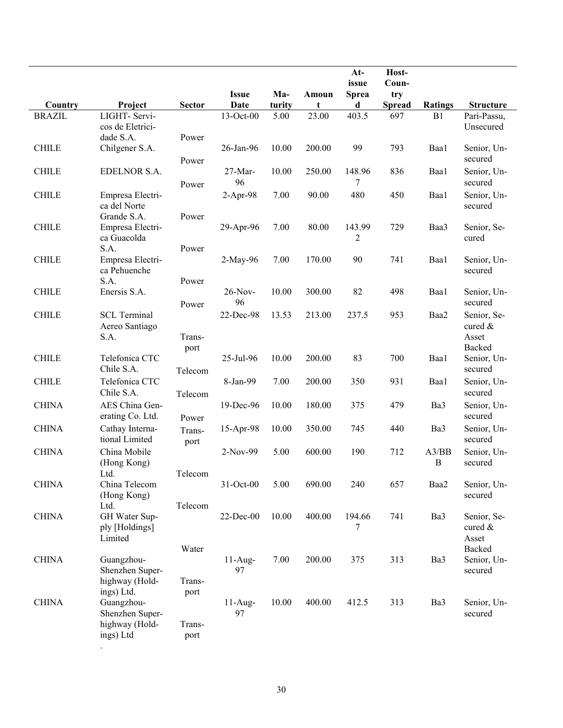|               |                                                               |                        | <b>Issue</b>    | Ma-    | Amoun  | $At-$<br>issue<br><b>Sprea</b> | Host-<br>Coun-<br>try |                   |                                              |
|---------------|---------------------------------------------------------------|------------------------|-----------------|--------|--------|--------------------------------|-----------------------|-------------------|----------------------------------------------|
| Country       | Project                                                       | <b>Sector</b>          | Date            | turity | t      | d                              | <b>Spread</b>         | <b>Ratings</b>    | <b>Structure</b>                             |
| <b>BRAZIL</b> | LIGHT- Servi-<br>cos de Eletrici-                             |                        | 13-Oct-00       | 5.00   | 23.00  | 403.5                          | 697                   | B1                | Pari-Passu,<br>Unsecured                     |
| <b>CHILE</b>  | dade S.A.<br>Chilgener S.A.                                   | Power<br>Power         | 26-Jan-96       | 10.00  | 200.00 | 99                             | 793                   | Baa1              | Senior, Un-<br>secured                       |
| <b>CHILE</b>  | EDELNOR S.A.                                                  | Power                  | 27-Mar-<br>96   | 10.00  | 250.00 | 148.96<br>7                    | 836                   | Baa1              | Senior, Un-<br>secured                       |
| <b>CHILE</b>  | Empresa Electri-<br>ca del Norte<br>Grande S.A.               | Power                  | $2-Apr-98$      | 7.00   | 90.00  | 480                            | 450                   | Baa1              | Senior, Un-<br>secured                       |
| <b>CHILE</b>  | Empresa Electri-<br>ca Guacolda                               |                        | 29-Apr-96       | 7.00   | 80.00  | 143.99<br>2                    | 729                   | Baa3              | Senior, Se-<br>cured                         |
| <b>CHILE</b>  | S.A.<br>Empresa Electri-<br>ca Pehuenche                      | Power                  | 2-May-96        | 7.00   | 170.00 | 90                             | 741                   | Baa1              | Senior, Un-<br>secured                       |
| <b>CHILE</b>  | S.A.<br>Enersis S.A.                                          | Power<br>Power         | 26-Nov-<br>96   | 10.00  | 300.00 | 82                             | 498                   | Baa1              | Senior, Un-<br>secured                       |
| <b>CHILE</b>  | <b>SCL Terminal</b><br>Aereo Santiago<br>S.A.                 | Trans-<br>port         | 22-Dec-98       | 13.53  | 213.00 | 237.5                          | 953                   | Baa2              | Senior, Se-<br>cured &<br>Asset<br>Backed    |
| <b>CHILE</b>  | Telefonica CTC<br>Chile S.A.                                  | Telecom                | 25-Jul-96       | 10.00  | 200.00 | 83                             | 700                   | Baa1              | Senior, Un-<br>secured                       |
| <b>CHILE</b>  | Telefonica CTC<br>Chile S.A.                                  | Telecom                | 8-Jan-99        | 7.00   | 200.00 | 350                            | 931                   | Baa1              | Senior, Un-<br>secured                       |
| <b>CHINA</b>  | AES China Gen-<br>erating Co. Ltd.                            | Power                  | 19-Dec-96       | 10.00  | 180.00 | 375                            | 479                   | Ba3               | Senior, Un-<br>secured                       |
| <b>CHINA</b>  | Cathay Interna-<br>tional Limited                             | Trans-<br>port         | 15-Apr-98       | 10.00  | 350.00 | 745                            | 440                   | Ba3               | Senior, Un-<br>secured                       |
| <b>CHINA</b>  | China Mobile<br>(Hong Kong)<br>Ltd.                           | Telecom                | 2-Nov-99        | 5.00   | 600.00 | 190                            | 712                   | A3/BB<br>$\bf{B}$ | Senior, Un-<br>secured                       |
| <b>CHINA</b>  | China Telecom<br>(Hong Kong)<br>Ltd.                          | Telecom                | 31-Oct-00       | 5.00   | 690.00 | 240                            | 657                   | Baa2              | Senior, Un-<br>secured                       |
| <b>CHINA</b>  | GH Water Sup-<br>ply [Holdings]<br>Limited                    | Water                  | 22-Dec-00       | 10.00  | 400.00 | 194.66<br>7                    | 741                   | Ba3               | Senior, Se-<br>cured $\&$<br>Asset<br>Backed |
| <b>CHINA</b>  | Guangzhou-<br>Shenzhen Super-<br>highway (Hold-<br>ings) Ltd. | Trans-                 | $11-Aug-$<br>97 | 7.00   | 200.00 | 375                            | 313                   | Ba3               | Senior, Un-<br>secured                       |
| <b>CHINA</b>  | Guangzhou-<br>Shenzhen Super-<br>highway (Hold-<br>ings) Ltd  | port<br>Trans-<br>port | $11-Aug-$<br>97 | 10.00  | 400.00 | 412.5                          | 313                   | Ba3               | Senior, Un-<br>secured                       |

.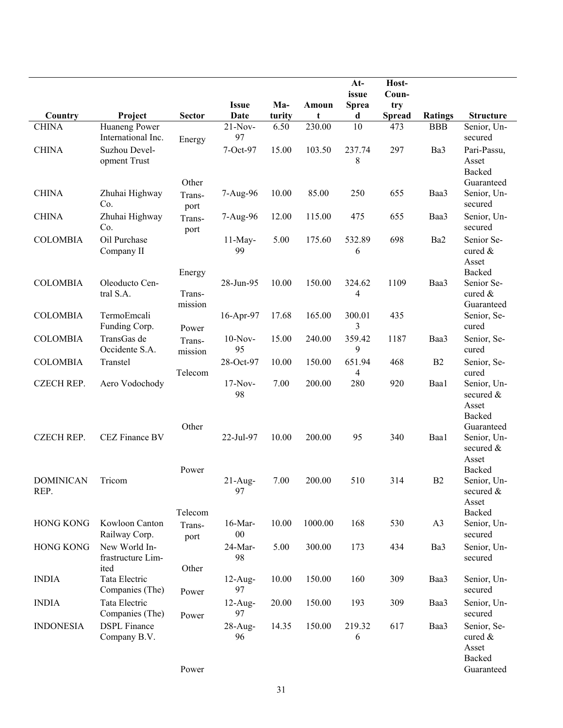|                          |                                            |                             | <b>Issue</b>      | Ma-    | Amoun   | $At-$<br>issue<br><b>Sprea</b> | Host-<br>Coun-<br>try |                |                                                           |
|--------------------------|--------------------------------------------|-----------------------------|-------------------|--------|---------|--------------------------------|-----------------------|----------------|-----------------------------------------------------------|
| Country                  | Project                                    | <b>Sector</b>               | Date              | turity | t       | d                              | <b>Spread</b>         | <b>Ratings</b> | <b>Structure</b>                                          |
| <b>CHINA</b>             | Huaneng Power<br>International Inc.        | Energy                      | $21-Nov-$<br>97   | 6.50   | 230.00  | 10                             | 473                   | <b>BBB</b>     | Senior, Un-<br>secured                                    |
| <b>CHINA</b>             | Suzhou Devel-<br>opment Trust              | Other                       | 7-Oct-97          | 15.00  | 103.50  | 237.74<br>8                    | 297                   | Ba3            | Pari-Passu,<br>Asset<br><b>Backed</b><br>Guaranteed       |
| <b>CHINA</b>             | Zhuhai Highway<br>Co.                      | Trans-<br>port              | 7-Aug-96          | 10.00  | 85.00   | 250                            | 655                   | Baa3           | Senior, Un-<br>secured                                    |
| <b>CHINA</b>             | Zhuhai Highway<br>Co.                      | Trans-<br>port              | 7-Aug-96          | 12.00  | 115.00  | 475                            | 655                   | Baa3           | Senior, Un-<br>secured                                    |
| <b>COLOMBIA</b>          | Oil Purchase<br>Company II                 |                             | $11$ -May-<br>99  | 5.00   | 175.60  | 532.89<br>6                    | 698                   | Ba2            | Senior Se-<br>cured &<br>Asset<br>Backed                  |
| <b>COLOMBIA</b>          | Oleoducto Cen-<br>tral S.A.                | Energy<br>Trans-<br>mission | 28-Jun-95         | 10.00  | 150.00  | 324.62<br>4                    | 1109                  | Baa3           | Senior Se-<br>cured &<br>Guaranteed                       |
| <b>COLOMBIA</b>          | TermoEmcali<br>Funding Corp.               | Power                       | 16-Apr-97         | 17.68  | 165.00  | 300.01<br>3                    | 435                   |                | Senior, Se-<br>cured                                      |
| <b>COLOMBIA</b>          | TransGas de<br>Occidente S.A.              | Trans-<br>mission           | $10-Nov-$<br>95   | 15.00  | 240.00  | 359.42<br>9                    | 1187                  | Baa3           | Senior, Se-<br>cured                                      |
| <b>COLOMBIA</b>          | Transtel                                   | Telecom                     | 28-Oct-97         | 10.00  | 150.00  | 651.94<br>4                    | 468                   | B2             | Senior, Se-<br>cured                                      |
| <b>CZECH REP.</b>        | Aero Vodochody                             | Other                       | 17-Nov-<br>98     | 7.00   | 200.00  | 280                            | 920                   | Baa1           | Senior, Un-<br>secured &<br>Asset<br>Backed<br>Guaranteed |
| <b>CZECH REP.</b>        | CEZ Finance BV                             | Power                       | 22-Jul-97         | 10.00  | 200.00  | 95                             | 340                   | Baa1           | Senior, Un-<br>secured &<br>Asset<br><b>Backed</b>        |
| <b>DOMINICAN</b><br>REP. | Tricom                                     |                             | $21-Aug-$<br>97   | 7.00   | 200.00  | 510                            | 314                   | B <sub>2</sub> | Senior, Un-<br>secured &<br>Asset                         |
| <b>HONG KONG</b>         | Kowloon Canton<br>Railway Corp.            | Telecom<br>Trans-<br>port   | 16-Mar-<br>$00\,$ | 10.00  | 1000.00 | 168                            | 530                   | A <sub>3</sub> | Backed<br>Senior, Un-<br>secured                          |
| <b>HONG KONG</b>         | New World In-<br>frastructure Lim-<br>ited | Other                       | 24-Mar-<br>98     | 5.00   | 300.00  | 173                            | 434                   | Ba3            | Senior, Un-<br>secured                                    |
| <b>INDIA</b>             | Tata Electric<br>Companies (The)           | Power                       | $12$ -Aug-<br>97  | 10.00  | 150.00  | 160                            | 309                   | Baa3           | Senior, Un-<br>secured                                    |
| <b>INDIA</b>             | Tata Electric<br>Companies (The)           | Power                       | $12$ -Aug-<br>97  | 20.00  | 150.00  | 193                            | 309                   | Baa3           | Senior, Un-<br>secured                                    |
| <b>INDONESIA</b>         | <b>DSPL</b> Finance<br>Company B.V.        |                             | 28-Aug-<br>96     | 14.35  | 150.00  | 219.32<br>6                    | 617                   | Baa3           | Senior, Se-<br>cured $\&$<br>Asset<br>Backed              |
|                          |                                            | Power                       |                   |        |         |                                |                       |                | Guaranteed                                                |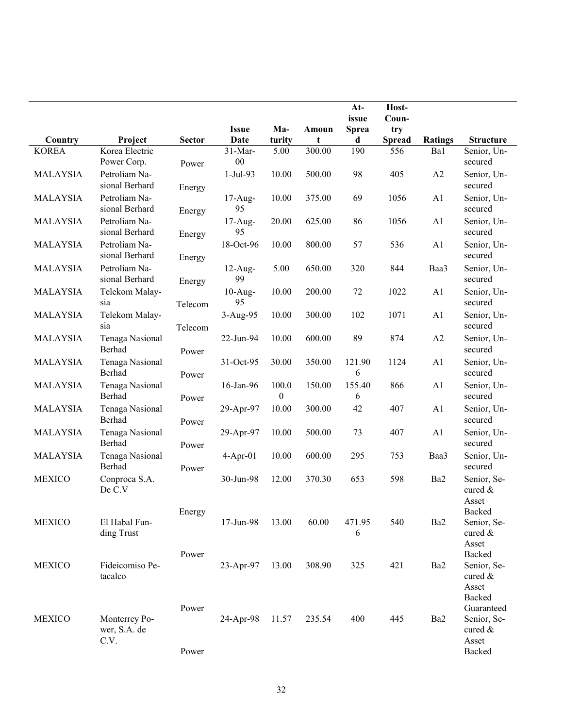|                 |                                       |                  | <b>Issue</b>        | Ma-                       | Amoun  | $At-$<br>issue<br><b>Sprea</b> | Host-<br>Coun-<br>try |                |                                                                             |
|-----------------|---------------------------------------|------------------|---------------------|---------------------------|--------|--------------------------------|-----------------------|----------------|-----------------------------------------------------------------------------|
| Country         | Project                               | <b>Sector</b>    | <b>Date</b>         | turity                    | t      | d                              | <b>Spread</b>         | <b>Ratings</b> | <b>Structure</b>                                                            |
| <b>KOREA</b>    | Korea Electric<br>Power Corp.         | Power            | $31-Mar-$<br>$00\,$ | 5.00                      | 300.00 | 190                            | 556                   | Ba1            | Senior, Un-<br>secured                                                      |
| <b>MALAYSIA</b> | Petroliam Na-<br>sional Berhard       | Energy           | $1-Jul-93$          | 10.00                     | 500.00 | 98                             | 405                   | A2             | Senior, Un-<br>secured                                                      |
| <b>MALAYSIA</b> | Petroliam Na-<br>sional Berhard       | Energy           | $17-Aug-$<br>95     | 10.00                     | 375.00 | 69                             | 1056                  | A1             | Senior, Un-<br>secured                                                      |
| <b>MALAYSIA</b> | Petroliam Na-<br>sional Berhard       | Energy           | $17-Aug-$<br>95     | 20.00                     | 625.00 | 86                             | 1056                  | A1             | Senior, Un-<br>secured                                                      |
| <b>MALAYSIA</b> | Petroliam Na-<br>sional Berhard       |                  | 18-Oct-96           | 10.00                     | 800.00 | 57                             | 536                   | A1             | Senior, Un-<br>secured                                                      |
| <b>MALAYSIA</b> | Petroliam Na-<br>sional Berhard       | Energy<br>Energy | $12$ -Aug-<br>99    | 5.00                      | 650.00 | 320                            | 844                   | Baa3           | Senior, Un-<br>secured                                                      |
| <b>MALAYSIA</b> | Telekom Malay-<br>sia                 | Telecom          | $10-Aug-$<br>95     | 10.00                     | 200.00 | 72                             | 1022                  | A1             | Senior, Un-<br>secured                                                      |
| <b>MALAYSIA</b> | Telekom Malay-<br>sia                 | Telecom          | $3-Aug-95$          | 10.00                     | 300.00 | 102                            | 1071                  | A1             | Senior, Un-<br>secured                                                      |
| <b>MALAYSIA</b> | Tenaga Nasional<br>Berhad             | Power            | 22-Jun-94           | 10.00                     | 600.00 | 89                             | 874                   | A2             | Senior, Un-<br>secured                                                      |
| <b>MALAYSIA</b> | Tenaga Nasional<br>Berhad             | Power            | 31-Oct-95           | 30.00                     | 350.00 | 121.90<br>6                    | 1124                  | A1             | Senior, Un-<br>secured                                                      |
| <b>MALAYSIA</b> | Tenaga Nasional<br>Berhad             | Power            | 16-Jan-96           | 100.0<br>$\boldsymbol{0}$ | 150.00 | 155.40<br>6                    | 866                   | A <sub>1</sub> | Senior, Un-<br>secured                                                      |
| <b>MALAYSIA</b> | Tenaga Nasional<br>Berhad             | Power            | 29-Apr-97           | 10.00                     | 300.00 | 42                             | 407                   | A1             | Senior, Un-<br>secured                                                      |
| <b>MALAYSIA</b> | Tenaga Nasional<br>Berhad             | Power            | 29-Apr-97           | 10.00                     | 500.00 | 73                             | 407                   | A1             | Senior, Un-<br>secured                                                      |
| <b>MALAYSIA</b> | Tenaga Nasional<br>Berhad             | Power            | $4-Apr-01$          | 10.00                     | 600.00 | 295                            | 753                   | Baa3           | Senior, Un-<br>secured                                                      |
| <b>MEXICO</b>   | Conproca S.A.<br>De C.V               |                  | 30-Jun-98           | 12.00                     | 370.30 | 653                            | 598                   | Ba2            | Senior, Se-<br>cured &<br>Asset                                             |
| <b>MEXICO</b>   | El Habal Fun-<br>ding Trust           | Energy           | 17-Jun-98           | 13.00                     | 60.00  | 471.95<br>6                    | 540                   | Ba2            | Backed<br>Senior, Se-<br>cured &<br>Asset                                   |
| <b>MEXICO</b>   | Fideicomiso Pe-<br>tacalco            | Power            | 23-Apr-97           | 13.00                     | 308.90 | 325                            | 421                   | Ba2            | Backed<br>Senior, Se-<br>cured &<br>Asset                                   |
| <b>MEXICO</b>   | Monterrey Po-<br>wer, S.A. de<br>C.V. | Power<br>Power   | 24-Apr-98           | 11.57                     | 235.54 | 400                            | 445                   | Ba2            | <b>Backed</b><br>Guaranteed<br>Senior, Se-<br>cured $\&$<br>Asset<br>Backed |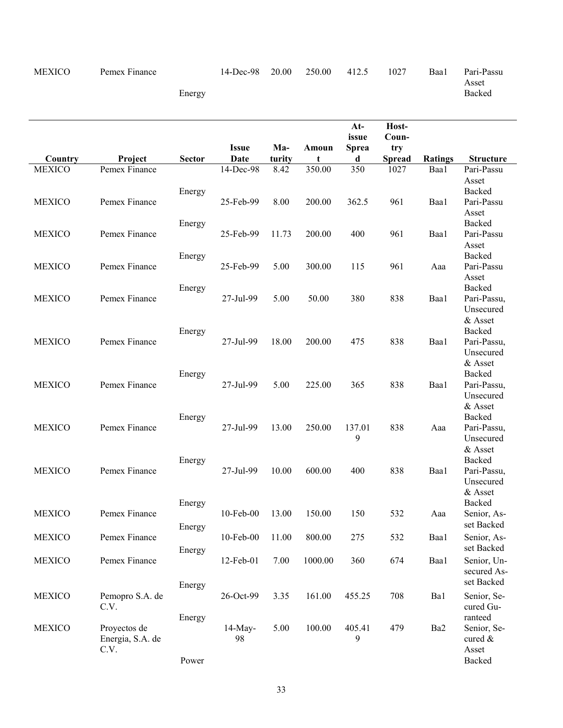## MEXICO Pemex Finance

14-Dec-98 20.00 250.00 412.5 1027 Baa1 Pari-Passu

Asset Backed

Energy

| Country       | Project                                  | <b>Sector</b>    | <b>Issue</b><br>Date | Ma-<br>turity | Amoun<br>t | $At-$<br>issue<br><b>Sprea</b> | Host-<br>Coun-<br>try<br><b>Spread</b> | <b>Ratings</b> | <b>Structure</b>                                         |
|---------------|------------------------------------------|------------------|----------------------|---------------|------------|--------------------------------|----------------------------------------|----------------|----------------------------------------------------------|
| <b>MEXICO</b> | Pemex Finance                            |                  | 14-Dec-98            | 8.42          | 350.00     | d<br>350                       | 1027                                   | Baa1           | Pari-Passu                                               |
| <b>MEXICO</b> | Pemex Finance                            | Energy           | 25-Feb-99            | 8.00          | 200.00     | 362.5                          | 961                                    | Baa1           | Asset<br>Backed<br>Pari-Passu<br>Asset                   |
| <b>MEXICO</b> | Pemex Finance                            | Energy           | 25-Feb-99            | 11.73         | 200.00     | 400                            | 961                                    | Baa1           | <b>Backed</b><br>Pari-Passu<br>Asset                     |
| <b>MEXICO</b> | Pemex Finance                            | Energy           | 25-Feb-99            | 5.00          | 300.00     | 115                            | 961                                    | Aaa            | Backed<br>Pari-Passu<br>Asset                            |
| <b>MEXICO</b> | Pemex Finance                            | Energy           | 27-Jul-99            | 5.00          | 50.00      | 380                            | 838                                    | Baa1           | Backed<br>Pari-Passu,<br>Unsecured<br>& Asset            |
| <b>MEXICO</b> | Pemex Finance                            | Energy           | 27-Jul-99            | 18.00         | 200.00     | 475                            | 838                                    | Baa1           | Backed<br>Pari-Passu,<br>Unsecured                       |
| <b>MEXICO</b> | Pemex Finance                            | Energy           | 27-Jul-99            | 5.00          | 225.00     | 365                            | 838                                    | Baa1           | & Asset<br>Backed<br>Pari-Passu,<br>Unsecured<br>& Asset |
| <b>MEXICO</b> | Pemex Finance                            | Energy           | 27-Jul-99            | 13.00         | 250.00     | 137.01<br>9                    | 838                                    | Aaa            | Backed<br>Pari-Passu,<br>Unsecured<br>& Asset            |
| <b>MEXICO</b> | Pemex Finance                            | Energy           | 27-Jul-99            | 10.00         | 600.00     | 400                            | 838                                    | Baa1           | Backed<br>Pari-Passu,<br>Unsecured<br>& Asset            |
| <b>MEXICO</b> | Pemex Finance                            | Energy<br>Energy | 10-Feb-00            | 13.00         | 150.00     | 150                            | 532                                    | Aaa            | <b>Backed</b><br>Senior, As-<br>set Backed               |
| <b>MEXICO</b> | Pemex Finance                            |                  | 10-Feb-00            | 11.00         | 800.00     | 275                            | 532                                    | Baa1           | Senior, As-<br>set Backed                                |
| <b>MEXICO</b> | Pemex Finance                            | Energy           | 12-Feb-01            | 7.00          | 1000.00    | 360                            | 674                                    | Baa1           | Senior, Un-<br>secured As-<br>set Backed                 |
| <b>MEXICO</b> | Pemopro S.A. de<br>C.V.                  | Energy           | 26-Oct-99            | 3.35          | 161.00     | 455.25                         | 708                                    | Ba1            | Senior, Se-<br>cured Gu-<br>ranteed                      |
| <b>MEXICO</b> | Proyectos de<br>Energia, S.A. de<br>C.V. | Energy<br>Power  | $14$ -May-<br>98     | 5.00          | 100.00     | 405.41<br>9                    | 479                                    | Ba2            | Senior, Se-<br>cured &<br>Asset<br>Backed                |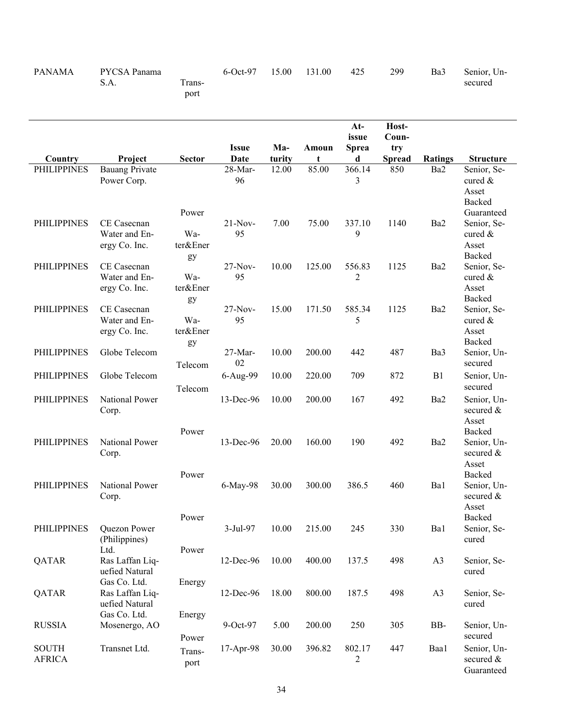| <b>PANAMA</b>                 | PYCSA Panama<br>S.A.                              | Trans-<br>port                 | 6-Oct-97             | 15.00         | 131.00     | 425                                 | 299                                    | Ba3            | Senior, Un-<br>secured                                     |
|-------------------------------|---------------------------------------------------|--------------------------------|----------------------|---------------|------------|-------------------------------------|----------------------------------------|----------------|------------------------------------------------------------|
| Country                       | Project                                           | <b>Sector</b>                  | <b>Issue</b><br>Date | Ma-<br>turity | Amoun<br>t | $At-$<br>issue<br><b>Sprea</b><br>d | Host-<br>Coun-<br>try<br><b>Spread</b> | <b>Ratings</b> | <b>Structure</b>                                           |
| <b>PHILIPPINES</b>            | <b>Bauang Private</b><br>Power Corp.              |                                | 28-Mar-<br>96        | 12.00         | 85.00      | 366.14<br>3                         | 850                                    | Ba2            | Senior, Se-<br>cured &<br>Asset<br>Backed                  |
| <b>PHILIPPINES</b>            | CE Casecnan<br>Water and En-<br>ergy Co. Inc.     | Power<br>Wa-<br>ter&Ener<br>gy | $21-Nov-$<br>95      | 7.00          | 75.00      | 337.10<br>9                         | 1140                                   | Ba2            | Guaranteed<br>Senior, Se-<br>cured $\&$<br>Asset<br>Backed |
| <b>PHILIPPINES</b>            | CE Casecnan<br>Water and En-<br>ergy Co. Inc.     | Wa-<br>ter&Ener<br>gy          | $27-Nov-$<br>95      | 10.00         | 125.00     | 556.83<br>2                         | 1125                                   | Ba2            | Senior, Se-<br>cured $&$<br>Asset<br>Backed                |
| <b>PHILIPPINES</b>            | CE Casecnan<br>Water and En-<br>ergy Co. Inc.     | Wa-<br>ter&Ener<br>gy          | $27-Nov-$<br>95      | 15.00         | 171.50     | 585.34<br>5                         | 1125                                   | Ba2            | Senior, Se-<br>cured &<br>Asset<br>Backed                  |
| <b>PHILIPPINES</b>            | Globe Telecom                                     | Telecom                        | 27-Mar-<br>02        | 10.00         | 200.00     | 442                                 | 487                                    | Ba3            | Senior, Un-<br>secured                                     |
| <b>PHILIPPINES</b>            | Globe Telecom                                     | Telecom                        | 6-Aug-99             | 10.00         | 220.00     | 709                                 | 872                                    | B1             | Senior, Un-<br>secured                                     |
| <b>PHILIPPINES</b>            | National Power<br>Corp.                           |                                | 13-Dec-96            | 10.00         | 200.00     | 167                                 | 492                                    | Ba2            | Senior, Un-<br>secured $\&$<br>Asset                       |
| <b>PHILIPPINES</b>            | National Power<br>Corp.                           | Power                          | 13-Dec-96            | 20.00         | 160.00     | 190                                 | 492                                    | Ba2            | Backed<br>Senior, Un-<br>secured $\&$<br>Asset             |
| <b>PHILIPPINES</b>            | National Power<br>Corp.                           | Power                          | 6-May-98             | 30.00         | 300.00     | 386.5                               | 460                                    | Ba1            | Backed<br>Senior, Un-<br>secured &<br>Asset                |
| <b>PHILIPPINES</b>            | Quezon Power<br>(Philippines)<br>Ltd.             | Power<br>Power                 | 3-Jul-97             | 10.00         | 215.00     | 245                                 | 330                                    | Ba1            | Backed<br>Senior, Se-<br>cured                             |
| QATAR                         | Ras Laffan Liq-<br>uefied Natural                 |                                | 12-Dec-96            | 10.00         | 400.00     | 137.5                               | 498                                    | A3             | Senior, Se-<br>cured                                       |
| QATAR                         | Gas Co. Ltd.<br>Ras Laffan Liq-<br>uefied Natural | Energy                         | 12-Dec-96            | 18.00         | 800.00     | 187.5                               | 498                                    | A <sub>3</sub> | Senior, Se-<br>cured                                       |
| <b>RUSSIA</b>                 | Gas Co. Ltd.<br>Mosenergo, AO                     | Energy<br>Power                | 9-Oct-97             | 5.00          | 200.00     | 250                                 | 305                                    | BB-            | Senior, Un-<br>secured                                     |
| <b>SOUTH</b><br><b>AFRICA</b> | Transnet Ltd.                                     | Trans-<br>port                 | 17-Apr-98            | 30.00         | 396.82     | 802.17<br>2                         | 447                                    | Baa1           | Senior, Un-<br>secured &<br>Guaranteed                     |